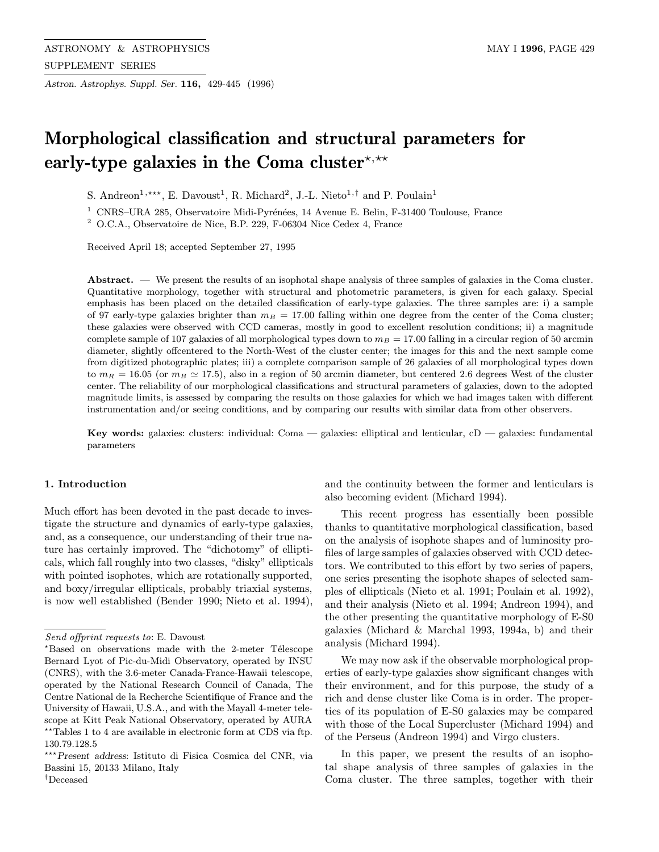Astron. Astrophys. Suppl. Ser. 116, 429-445 (1996)

# Morphological classification and structural parameters for early-type galaxies in the Coma cluster\*,\*\*

S. Andreon<sup>1,\*\*\*</sup>, E. Davoust<sup>1</sup>, R. Michard<sup>2</sup>, J.-L. Nieto<sup>1,†</sup> and P. Poulain<sup>1</sup>

<sup>1</sup> CNRS–URA 285, Observatoire Midi-Pyrénées, 14 Avenue E. Belin, F-31400 Toulouse, France

<sup>2</sup> O.C.A., Observatoire de Nice, B.P. 229, F-06304 Nice Cedex 4, France

Received April 18; accepted September 27, 1995

Abstract. — We present the results of an isophotal shape analysis of three samples of galaxies in the Coma cluster. Quantitative morphology, together with structural and photometric parameters, is given for each galaxy. Special emphasis has been placed on the detailed classification of early-type galaxies. The three samples are: i) a sample of 97 early-type galaxies brighter than  $m_B = 17.00$  falling within one degree from the center of the Coma cluster; these galaxies were observed with CCD cameras, mostly in good to excellent resolution conditions; ii) a magnitude complete sample of 107 galaxies of all morphological types down to  $m_B = 17.00$  falling in a circular region of 50 arcmin diameter, slightly offcentered to the North-West of the cluster center; the images for this and the next sample come from digitized photographic plates; iii) a complete comparison sample of 26 galaxies of all morphological types down to  $m_R = 16.05$  (or  $m_B \simeq 17.5$ ), also in a region of 50 arcmin diameter, but centered 2.6 degrees West of the cluster center. The reliability of our morphological classifications and structural parameters of galaxies, down to the adopted magnitude limits, is assessed by comparing the results on those galaxies for which we had images taken with different instrumentation and/or seeing conditions, and by comparing our results with similar data from other observers.

Key words: galaxies: clusters: individual: Coma — galaxies: elliptical and lenticular,  $cD$  — galaxies: fundamental parameters

### 1. Introduction

Much effort has been devoted in the past decade to investigate the structure and dynamics of early-type galaxies, and, as a consequence, our understanding of their true nature has certainly improved. The "dichotomy" of ellipticals, which fall roughly into two classes, "disky" ellipticals with pointed isophotes, which are rotationally supported, and boxy/irregular ellipticals, probably triaxial systems, is now well established (Bender 1990; Nieto et al. 1994), and the continuity between the former and lenticulars is also becoming evident (Michard 1994).

This recent progress has essentially been possible thanks to quantitative morphological classification, based on the analysis of isophote shapes and of luminosity profiles of large samples of galaxies observed with CCD detectors. We contributed to this effort by two series of papers, one series presenting the isophote shapes of selected samples of ellipticals (Nieto et al. 1991; Poulain et al. 1992), and their analysis (Nieto et al. 1994; Andreon 1994), and the other presenting the quantitative morphology of E-S0 galaxies (Michard & Marchal 1993, 1994a, b) and their analysis (Michard 1994).

We may now ask if the observable morphological properties of early-type galaxies show significant changes with their environment, and for this purpose, the study of a rich and dense cluster like Coma is in order. The properties of its population of E-S0 galaxies may be compared with those of the Local Supercluster (Michard 1994) and of the Perseus (Andreon 1994) and Virgo clusters.

In this paper, we present the results of an isophotal shape analysis of three samples of galaxies in the Coma cluster. The three samples, together with their

Send offprint requests to: E. Davoust

 $*$ Based on observations made with the 2-meter Télescope Bernard Lyot of Pic-du-Midi Observatory, operated by INSU (CNRS), with the 3.6-meter Canada-France-Hawaii telescope, operated by the National Research Council of Canada, The Centre National de la Recherche Scientifique of France and the University of Hawaii, U.S.A., and with the Mayall 4-meter telescope at Kitt Peak National Observatory, operated by AURA  $\star\star$  Tables 1 to 4 are available in electronic form at CDS via ftp. 130.79.128.5

<sup>\*\*\*</sup> Present address: Istituto di Fisica Cosmica del CNR, via Bassini 15, 20133 Milano, Italy † Deceased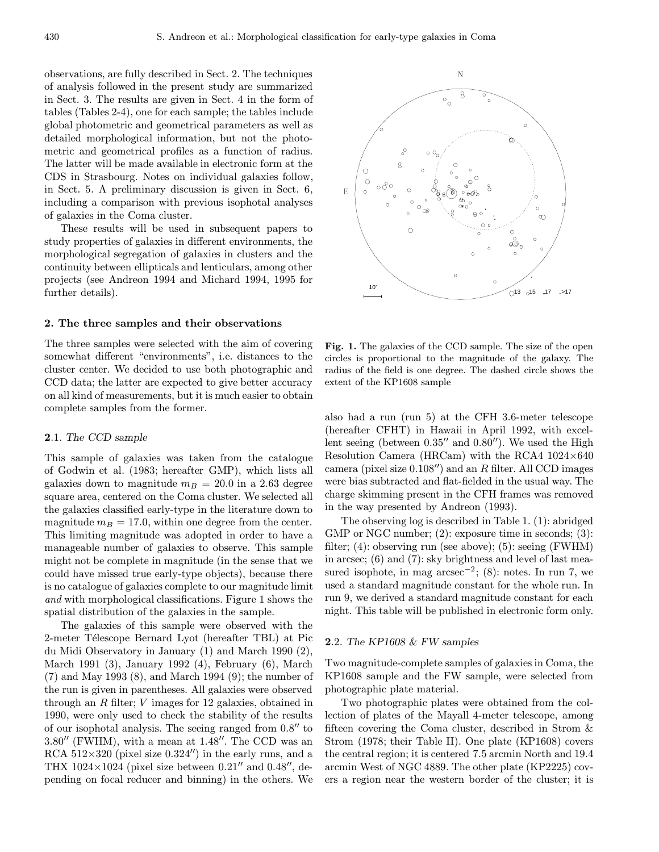observations, are fully described in Sect. 2. The techniques of analysis followed in the present study are summarized in Sect. 3. The results are given in Sect. 4 in the form of tables (Tables 2-4), one for each sample; the tables include global photometric and geometrical parameters as well as detailed morphological information, but not the photometric and geometrical profiles as a function of radius. The latter will be made available in electronic form at the CDS in Strasbourg. Notes on individual galaxies follow, in Sect. 5. A preliminary discussion is given in Sect. 6, including a comparison with previous isophotal analyses of galaxies in the Coma cluster.

These results will be used in subsequent papers to study properties of galaxies in different environments, the morphological segregation of galaxies in clusters and the continuity between ellipticals and lenticulars, among other projects (see Andreon 1994 and Michard 1994, 1995 for further details).

#### 2. The three samples and their observations

The three samples were selected with the aim of covering somewhat different "environments", i.e. distances to the cluster center. We decided to use both photographic and CCD data; the latter are expected to give better accuracy on all kind of measurements, but it is much easier to obtain complete samples from the former.

## 2.1. The CCD sample

This sample of galaxies was taken from the catalogue of Godwin et al. (1983; hereafter GMP), which lists all galaxies down to magnitude  $m_B = 20.0$  in a 2.63 degree square area, centered on the Coma cluster. We selected all the galaxies classified early-type in the literature down to magnitude  $m_B = 17.0$ , within one degree from the center. This limiting magnitude was adopted in order to have a manageable number of galaxies to observe. This sample might not be complete in magnitude (in the sense that we could have missed true early-type objects), because there is no catalogue of galaxies complete to our magnitude limit and with morphological classifications. Figure 1 shows the spatial distribution of the galaxies in the sample.

The galaxies of this sample were observed with the 2-meter Télescope Bernard Lyot (hereafter TBL) at Pic du Midi Observatory in January (1) and March 1990 (2), March 1991 (3), January 1992 (4), February (6), March (7) and May 1993 (8), and March 1994 (9); the number of the run is given in parentheses. All galaxies were observed through an  $R$  filter;  $V$  images for 12 galaxies, obtained in 1990, were only used to check the stability of the results of our isophotal analysis. The seeing ranged from  $0.8$ <sup> $\prime\prime$ </sup> to  $3.80''$  (FWHM), with a mean at 1.48". The CCD was an RCA  $512\times320$  (pixel size 0.324") in the early runs, and a THX 1024 $\times$ 1024 (pixel size between 0.21" and 0.48", depending on focal reducer and binning) in the others. We



Fig. 1. The galaxies of the CCD sample. The size of the open circles is proportional to the magnitude of the galaxy. The radius of the field is one degree. The dashed circle shows the extent of the KP1608 sample

also had a run (run 5) at the CFH 3.6-meter telescope (hereafter CFHT) in Hawaii in April 1992, with excellent seeing (between  $0.35''$  and  $0.80''$ ). We used the High Resolution Camera (HRCam) with the RCA4 1024×640 camera (pixel size  $0.108$ <sup>n</sup>) and an R filter. All CCD images were bias subtracted and flat-fielded in the usual way. The charge skimming present in the CFH frames was removed in the way presented by Andreon (1993).

The observing log is described in Table 1. (1): abridged GMP or NGC number; (2): exposure time in seconds; (3): filter; (4): observing run (see above); (5): seeing (FWHM) in arcsec; (6) and (7): sky brightness and level of last measured isophote, in mag  $\arccos\left(\frac{2}{3}\right)$ : notes. In run 7, we used a standard magnitude constant for the whole run. In run 9, we derived a standard magnitude constant for each night. This table will be published in electronic form only.

## **2.2.** The KP1608  $\&$  FW samples

Two magnitude-complete samples of galaxies in Coma, the KP1608 sample and the FW sample, were selected from photographic plate material.

Two photographic plates were obtained from the collection of plates of the Mayall 4-meter telescope, among fifteen covering the Coma cluster, described in Strom & Strom (1978; their Table II). One plate (KP1608) covers the central region; it is centered 7.5 arcmin North and 19.4 arcmin West of NGC 4889. The other plate (KP2225) covers a region near the western border of the cluster; it is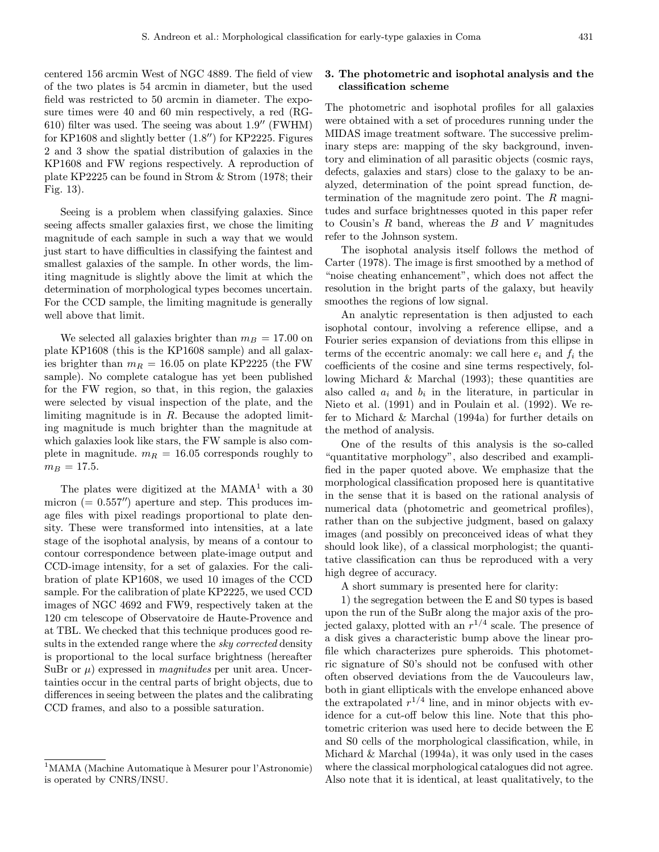centered 156 arcmin West of NGC 4889. The field of view of the two plates is 54 arcmin in diameter, but the used field was restricted to 50 arcmin in diameter. The exposure times were 40 and 60 min respectively, a red (RG-610) filter was used. The seeing was about  $1.9$ <sup>"</sup> (FWHM) for KP1608 and slightly better  $(1.8'')$  for KP2225. Figures 2 and 3 show the spatial distribution of galaxies in the KP1608 and FW regions respectively. A reproduction of plate KP2225 can be found in Strom & Strom (1978; their Fig. 13).

Seeing is a problem when classifying galaxies. Since seeing affects smaller galaxies first, we chose the limiting magnitude of each sample in such a way that we would just start to have difficulties in classifying the faintest and smallest galaxies of the sample. In other words, the limiting magnitude is slightly above the limit at which the determination of morphological types becomes uncertain. For the CCD sample, the limiting magnitude is generally well above that limit.

We selected all galaxies brighter than  $m_B = 17.00$  on plate KP1608 (this is the KP1608 sample) and all galaxies brighter than  $m_R = 16.05$  on plate KP2225 (the FW sample). No complete catalogue has yet been published for the FW region, so that, in this region, the galaxies were selected by visual inspection of the plate, and the limiting magnitude is in  $R$ . Because the adopted limiting magnitude is much brighter than the magnitude at which galaxies look like stars, the FW sample is also complete in magnitude.  $m_R = 16.05$  corresponds roughly to  $m_B = 17.5.$ 

The plates were digitized at the  $MAMA<sup>1</sup>$  with a 30 micron  $(= 0.557'')$  aperture and step. This produces image files with pixel readings proportional to plate density. These were transformed into intensities, at a late stage of the isophotal analysis, by means of a contour to contour correspondence between plate-image output and CCD-image intensity, for a set of galaxies. For the calibration of plate KP1608, we used 10 images of the CCD sample. For the calibration of plate KP2225, we used CCD images of NGC 4692 and FW9, respectively taken at the 120 cm telescope of Observatoire de Haute-Provence and at TBL. We checked that this technique produces good results in the extended range where the *sky corrected* density is proportional to the local surface brightness (hereafter SuBr or  $\mu$ ) expressed in *magnitudes* per unit area. Uncertainties occur in the central parts of bright objects, due to differences in seeing between the plates and the calibrating CCD frames, and also to a possible saturation.

## 3. The photometric and isophotal analysis and the classification scheme

The photometric and isophotal profiles for all galaxies were obtained with a set of procedures running under the MIDAS image treatment software. The successive preliminary steps are: mapping of the sky background, inventory and elimination of all parasitic objects (cosmic rays, defects, galaxies and stars) close to the galaxy to be analyzed, determination of the point spread function, determination of the magnitude zero point. The  $R$  magnitudes and surface brightnesses quoted in this paper refer to Cousin's  $R$  band, whereas the  $B$  and  $V$  magnitudes refer to the Johnson system.

The isophotal analysis itself follows the method of Carter (1978). The image is first smoothed by a method of "noise cheating enhancement", which does not affect the resolution in the bright parts of the galaxy, but heavily smoothes the regions of low signal.

An analytic representation is then adjusted to each isophotal contour, involving a reference ellipse, and a Fourier series expansion of deviations from this ellipse in terms of the eccentric anomaly: we call here  $e_i$  and  $f_i$  the coefficients of the cosine and sine terms respectively, following Michard & Marchal (1993); these quantities are also called  $a_i$  and  $b_i$  in the literature, in particular in Nieto et al. (1991) and in Poulain et al. (1992). We refer to Michard & Marchal (1994a) for further details on the method of analysis.

One of the results of this analysis is the so-called "quantitative morphology", also described and examplified in the paper quoted above. We emphasize that the morphological classification proposed here is quantitative in the sense that it is based on the rational analysis of numerical data (photometric and geometrical profiles), rather than on the subjective judgment, based on galaxy images (and possibly on preconceived ideas of what they should look like), of a classical morphologist; the quantitative classification can thus be reproduced with a very high degree of accuracy.

A short summary is presented here for clarity:

1) the segregation between the E and S0 types is based upon the run of the SuBr along the major axis of the projected galaxy, plotted with an  $r^{1/4}$  scale. The presence of a disk gives a characteristic bump above the linear profile which characterizes pure spheroids. This photometric signature of S0's should not be confused with other often observed deviations from the de Vaucouleurs law, both in giant ellipticals with the envelope enhanced above the extrapolated  $r^{1/4}$  line, and in minor objects with evidence for a cut-off below this line. Note that this photometric criterion was used here to decide between the E and S0 cells of the morphological classification, while, in Michard & Marchal (1994a), it was only used in the cases where the classical morphological catalogues did not agree. Also note that it is identical, at least qualitatively, to the

<sup>&</sup>lt;sup>1</sup>MAMA (Machine Automatique à Mesurer pour l'Astronomie) is operated by CNRS/INSU.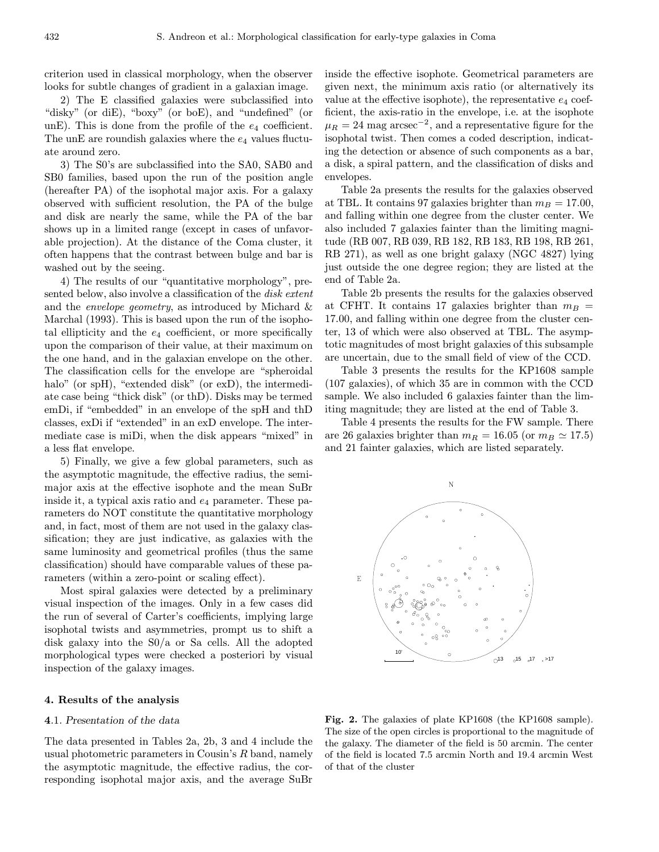criterion used in classical morphology, when the observer looks for subtle changes of gradient in a galaxian image.

2) The E classified galaxies were subclassified into "disky" (or diE), "boxy" (or boE), and "undefined" (or unE). This is done from the profile of the  $e_4$  coefficient. The unE are roundish galaxies where the  $e_4$  values fluctuate around zero.

3) The S0's are subclassified into the SA0, SAB0 and SB0 families, based upon the run of the position angle (hereafter PA) of the isophotal major axis. For a galaxy observed with sufficient resolution, the PA of the bulge and disk are nearly the same, while the PA of the bar shows up in a limited range (except in cases of unfavorable projection). At the distance of the Coma cluster, it often happens that the contrast between bulge and bar is washed out by the seeing.

4) The results of our "quantitative morphology", presented below, also involve a classification of the *disk extent* and the envelope geometry, as introduced by Michard & Marchal (1993). This is based upon the run of the isophotal ellipticity and the  $e_4$  coefficient, or more specifically upon the comparison of their value, at their maximum on the one hand, and in the galaxian envelope on the other. The classification cells for the envelope are "spheroidal halo" (or spH), "extended disk" (or exD), the intermediate case being "thick disk" (or thD). Disks may be termed emDi, if "embedded" in an envelope of the spH and thD classes, exDi if "extended" in an exD envelope. The intermediate case is miDi, when the disk appears "mixed" in a less flat envelope.

5) Finally, we give a few global parameters, such as the asymptotic magnitude, the effective radius, the semimajor axis at the effective isophote and the mean SuBr inside it, a typical axis ratio and  $e_4$  parameter. These parameters do NOT constitute the quantitative morphology and, in fact, most of them are not used in the galaxy classification; they are just indicative, as galaxies with the same luminosity and geometrical profiles (thus the same classification) should have comparable values of these parameters (within a zero-point or scaling effect).

Most spiral galaxies were detected by a preliminary visual inspection of the images. Only in a few cases did the run of several of Carter's coefficients, implying large isophotal twists and asymmetries, prompt us to shift a disk galaxy into the S0/a or Sa cells. All the adopted morphological types were checked a posteriori by visual inspection of the galaxy images.

#### 4. Results of the analysis

## 4.1. Presentation of the data

The data presented in Tables 2a, 2b, 3 and 4 include the usual photometric parameters in Cousin's R band, namely the asymptotic magnitude, the effective radius, the corresponding isophotal major axis, and the average SuBr

inside the effective isophote. Geometrical parameters are given next, the minimum axis ratio (or alternatively its value at the effective isophote), the representative  $e_4$  coefficient, the axis-ratio in the envelope, i.e. at the isophote  $\mu_R = 24$  mag arcsec<sup>-2</sup>, and a representative figure for the isophotal twist. Then comes a coded description, indicating the detection or absence of such components as a bar, a disk, a spiral pattern, and the classification of disks and envelopes.

Table 2a presents the results for the galaxies observed at TBL. It contains 97 galaxies brighter than  $m_B = 17.00$ , and falling within one degree from the cluster center. We also included 7 galaxies fainter than the limiting magnitude (RB 007, RB 039, RB 182, RB 183, RB 198, RB 261, RB 271), as well as one bright galaxy (NGC 4827) lying just outside the one degree region; they are listed at the end of Table 2a.

Table 2b presents the results for the galaxies observed at CFHT. It contains 17 galaxies brighter than  $m_B =$ 17.00, and falling within one degree from the cluster center, 13 of which were also observed at TBL. The asymptotic magnitudes of most bright galaxies of this subsample are uncertain, due to the small field of view of the CCD.

Table 3 presents the results for the KP1608 sample (107 galaxies), of which 35 are in common with the CCD sample. We also included 6 galaxies fainter than the limiting magnitude; they are listed at the end of Table 3.

Table 4 presents the results for the FW sample. There are 26 galaxies brighter than  $m_R = 16.05$  (or  $m_B \simeq 17.5$ ) and 21 fainter galaxies, which are listed separately.



Fig. 2. The galaxies of plate KP1608 (the KP1608 sample). The size of the open circles is proportional to the magnitude of the galaxy. The diameter of the field is 50 arcmin. The center of the field is located 7.5 arcmin North and 19.4 arcmin West of that of the cluster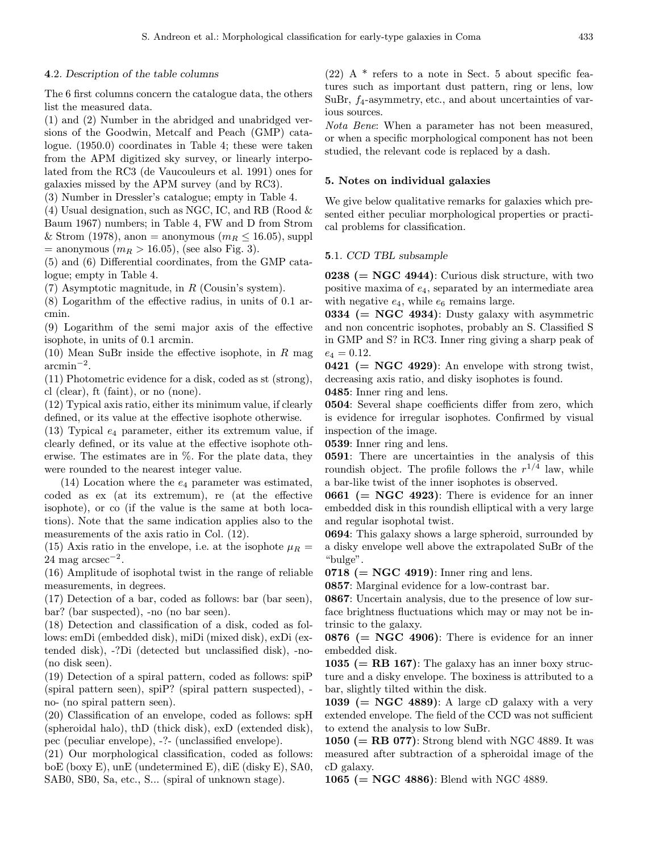## 4.2. Description of the table columns

The 6 first columns concern the catalogue data, the others list the measured data.

(1) and (2) Number in the abridged and unabridged versions of the Goodwin, Metcalf and Peach (GMP) catalogue. (1950.0) coordinates in Table 4; these were taken from the APM digitized sky survey, or linearly interpolated from the RC3 (de Vaucouleurs et al. 1991) ones for galaxies missed by the APM survey (and by RC3).

(3) Number in Dressler's catalogue; empty in Table 4.

(4) Usual designation, such as NGC, IC, and RB (Rood  $\&$ Baum 1967) numbers; in Table 4, FW and D from Strom & Strom (1978), anon = anonymous ( $m_R \leq 16.05$ ), suppl  $=$  anonymous  $(m_R > 16.05)$ , (see also Fig. 3).

(5) and (6) Differential coordinates, from the GMP catalogue; empty in Table 4.

(7) Asymptotic magnitude, in R (Cousin's system).

(8) Logarithm of the effective radius, in units of 0.1 arcmin.

(9) Logarithm of the semi major axis of the effective isophote, in units of 0.1 arcmin.

(10) Mean SuBr inside the effective isophote, in  $R$  mag  $\rm arcmin^{-2}$ .

(11) Photometric evidence for a disk, coded as st (strong), cl (clear), ft (faint), or no (none).

(12) Typical axis ratio, either its minimum value, if clearly defined, or its value at the effective isophote otherwise.

(13) Typical  $e_4$  parameter, either its extremum value, if clearly defined, or its value at the effective isophote otherwise. The estimates are in %. For the plate data, they were rounded to the nearest integer value.

 $(14)$  Location where the  $e_4$  parameter was estimated, coded as ex (at its extremum), re (at the effective isophote), or co (if the value is the same at both locations). Note that the same indication applies also to the measurements of the axis ratio in Col. (12).

(15) Axis ratio in the envelope, i.e. at the isophote  $\mu_R =$  $24 \text{ mag arcsec}^{-2}$ .

(16) Amplitude of isophotal twist in the range of reliable measurements, in degrees.

(17) Detection of a bar, coded as follows: bar (bar seen), bar? (bar suspected), -no (no bar seen).

(18) Detection and classification of a disk, coded as follows: emDi (embedded disk), miDi (mixed disk), exDi (extended disk), -?Di (detected but unclassified disk), -no- (no disk seen).

(19) Detection of a spiral pattern, coded as follows: spiP (spiral pattern seen), spiP? (spiral pattern suspected), no- (no spiral pattern seen).

(20) Classification of an envelope, coded as follows: spH (spheroidal halo), thD (thick disk), exD (extended disk), pec (peculiar envelope), -?- (unclassified envelope).

(21) Our morphological classification, coded as follows: boE (boxy E), unE (undetermined E), diE (disky E), SA0, SAB0, SB0, Sa, etc., S... (spiral of unknown stage).

 $(22)$  A  $*$  refers to a note in Sect. 5 about specific features such as important dust pattern, ring or lens, low SuBr,  $f_4$ -asymmetry, etc., and about uncertainties of various sources.

Nota Bene: When a parameter has not been measured, or when a specific morphological component has not been studied, the relevant code is replaced by a dash.

#### 5. Notes on individual galaxies

We give below qualitative remarks for galaxies which presented either peculiar morphological properties or practical problems for classification.

## 5.1. CCD TBL subsample

0238  $(= NGC 4944)$ : Curious disk structure, with two positive maxima of  $e_4$ , separated by an intermediate area with negative  $e_4$ , while  $e_6$  remains large.

0334 ( $=$  NGC 4934): Dusty galaxy with asymmetric and non concentric isophotes, probably an S. Classified S in GMP and S? in RC3. Inner ring giving a sharp peak of  $e_4 = 0.12.$ 

0421 ( $= \text{NGC } 4929$ ): An envelope with strong twist, decreasing axis ratio, and disky isophotes is found.

0485: Inner ring and lens.

0504: Several shape coefficients differ from zero, which is evidence for irregular isophotes. Confirmed by visual inspection of the image.

0539: Inner ring and lens.

0591: There are uncertainties in the analysis of this roundish object. The profile follows the  $r^{1/4}$  law, while a bar-like twist of the inner isophotes is observed.

0661 ( $= \text{NGC } 4923$ ): There is evidence for an inner embedded disk in this roundish elliptical with a very large and regular isophotal twist.

0694: This galaxy shows a large spheroid, surrounded by a disky envelope well above the extrapolated SuBr of the "bulge".

 $0718$  (= NGC 4919): Inner ring and lens.

0857: Marginal evidence for a low-contrast bar.

0867: Uncertain analysis, due to the presence of low surface brightness fluctuations which may or may not be intrinsic to the galaxy.

0876 ( $= \text{NGC } 4906$ ): There is evidence for an inner embedded disk.

1035 ( $=$  RB 167): The galaxy has an inner boxy structure and a disky envelope. The boxiness is attributed to a bar, slightly tilted within the disk.

1039 (= NGC 4889): A large cD galaxy with a very extended envelope. The field of the CCD was not sufficient to extend the analysis to low SuBr.

1050 ( $=$  RB 077): Strong blend with NGC 4889. It was measured after subtraction of a spheroidal image of the cD galaxy.

1065 ( $=$  NGC 4886): Blend with NGC 4889.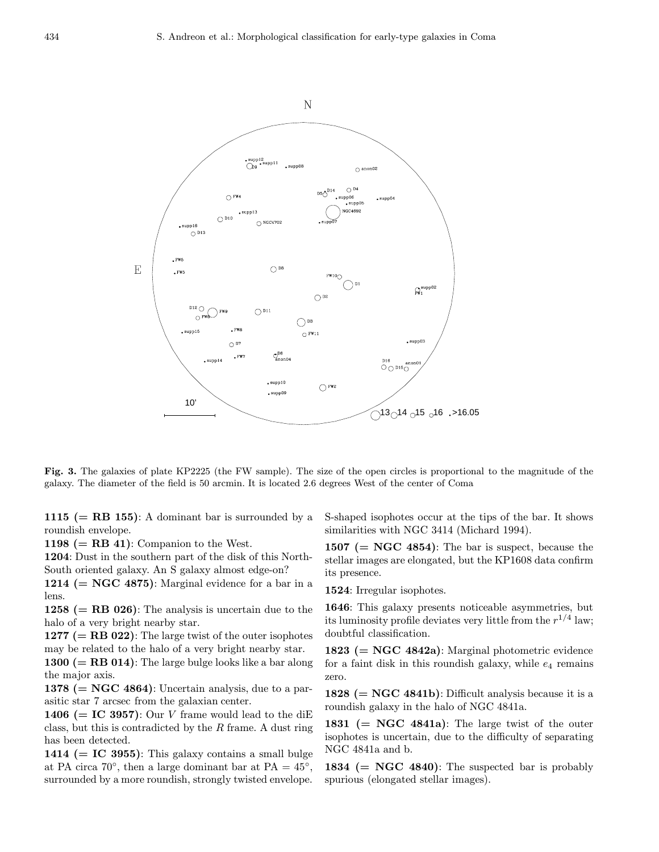

Fig. 3. The galaxies of plate KP2225 (the FW sample). The size of the open circles is proportional to the magnitude of the galaxy. The diameter of the field is 50 arcmin. It is located 2.6 degrees West of the center of Coma

1115 ( $=$  RB 155): A dominant bar is surrounded by a roundish envelope.

1198 ( $=$  RB 41): Companion to the West.

1204: Dust in the southern part of the disk of this North-South oriented galaxy. An S galaxy almost edge-on?

1214 ( $=$  NGC 4875): Marginal evidence for a bar in a lens.

1258 ( $=$  RB 026): The analysis is uncertain due to the halo of a very bright nearby star.

1277 ( $=$  RB 022): The large twist of the outer isophotes may be related to the halo of a very bright nearby star.

1300  $(= RB 014)$ : The large bulge looks like a bar along the major axis.

1378 ( $= \text{NGC } 4864$ ): Uncertain analysis, due to a parasitic star 7 arcsec from the galaxian center.

1406 (= IC 3957): Our V frame would lead to the diE class, but this is contradicted by the  $R$  frame. A dust ring has been detected.

1414 ( $=$  IC 3955): This galaxy contains a small bulge at PA circa 70°, then a large dominant bar at PA =  $45^{\circ}$ . surrounded by a more roundish, strongly twisted envelope.

S-shaped isophotes occur at the tips of the bar. It shows similarities with NGC 3414 (Michard 1994).

1507 ( $= \text{NGC } 4854$ ): The bar is suspect, because the stellar images are elongated, but the KP1608 data confirm its presence.

1524: Irregular isophotes.

1646: This galaxy presents noticeable asymmetries, but its luminosity profile deviates very little from the  $r^{1/4}$  law; doubtful classification.

1823  $(= NGC 4842a)$ : Marginal photometric evidence for a faint disk in this roundish galaxy, while  $e_4$  remains zero.

1828  $(= NGC 4841b)$ : Difficult analysis because it is a roundish galaxy in the halo of NGC 4841a.

1831 ( $= \text{NGC } 4841a$ ): The large twist of the outer isophotes is uncertain, due to the difficulty of separating NGC 4841a and b.

1834  $(= NGC 4840)$ : The suspected bar is probably spurious (elongated stellar images).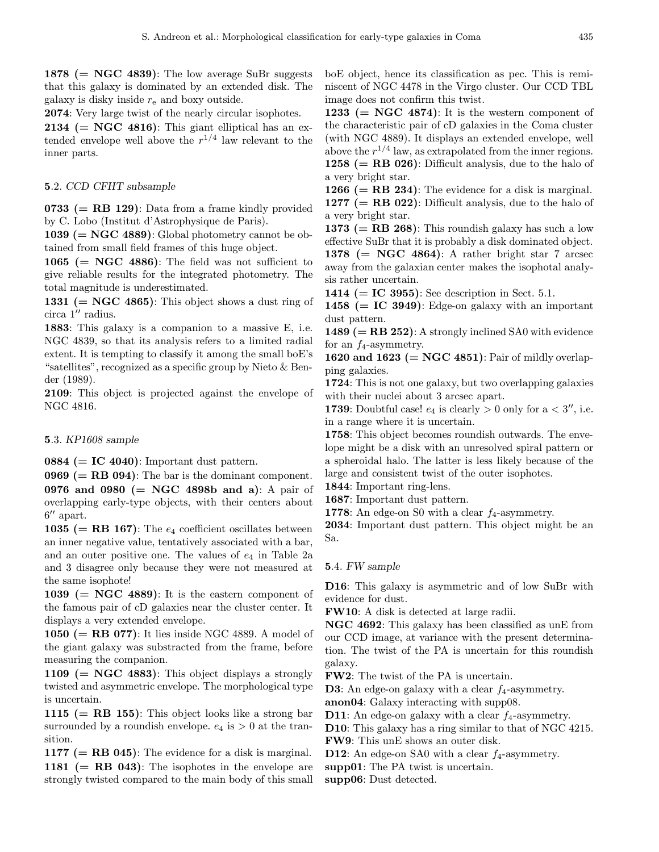1878 ( $= \text{NGC } 4839$ ): The low average SuBr suggests that this galaxy is dominated by an extended disk. The galaxy is disky inside  $r_{e}$  and boxy outside.

2074: Very large twist of the nearly circular isophotes.

**2134** ( $= \text{NGC } 4816$ ): This giant elliptical has an extended envelope well above the  $r^{1/4}$  law relevant to the inner parts.

#### 5.2. CCD CFHT subsample

0733 ( $=$  RB 129): Data from a frame kindly provided by C. Lobo (Institut d'Astrophysique de Paris).

1039 ( $= NGC 4889$ ): Global photometry cannot be obtained from small field frames of this huge object.

1065 ( $= \text{NGC } 4886$ ): The field was not sufficient to give reliable results for the integrated photometry. The total magnitude is underestimated.

1331 ( $= \text{NGC } 4865$ ): This object shows a dust ring of circa  $1''$  radius.

1883: This galaxy is a companion to a massive E, i.e. NGC 4839, so that its analysis refers to a limited radial extent. It is tempting to classify it among the small boE's "satellites", recognized as a specific group by Nieto & Bender (1989).

2109: This object is projected against the envelope of NGC 4816.

#### 5.3. KP1608 sample

0884 ( $=$  IC 4040): Important dust pattern.

 $0969 (= RB 094)$ : The bar is the dominant component. 0976 and 0980 (= NGC 4898b and a): A pair of overlapping early-type objects, with their centers about  $6''$  apart.

1035 (= RB 167): The  $e_4$  coefficient oscillates between an inner negative value, tentatively associated with a bar, and an outer positive one. The values of  $e_4$  in Table 2a and 3 disagree only because they were not measured at the same isophote!

1039 ( $=$  NGC 4889): It is the eastern component of the famous pair of cD galaxies near the cluster center. It displays a very extended envelope.

1050 ( $=$  RB 077): It lies inside NGC 4889. A model of the giant galaxy was substracted from the frame, before measuring the companion.

1109 ( $= \text{NGC } 4883$ ): This object displays a strongly twisted and asymmetric envelope. The morphological type is uncertain.

1115  $(= RB 155)$ : This object looks like a strong bar surrounded by a roundish envelope.  $e_4$  is  $> 0$  at the transition.

1177 ( $=$  RB 045): The evidence for a disk is marginal. 1181 ( $=$  RB 043): The isophotes in the envelope are strongly twisted compared to the main body of this small boE object, hence its classification as pec. This is reminiscent of NGC 4478 in the Virgo cluster. Our CCD TBL image does not confirm this twist.

1233 ( $= \text{NGC } 4874$ ): It is the western component of the characteristic pair of cD galaxies in the Coma cluster (with NGC 4889). It displays an extended envelope, well above the  $r^{1/4}$  law, as extrapolated from the inner regions. 1258 ( $=$  RB 026): Difficult analysis, due to the halo of a very bright star.

1266 ( $=$  RB 234): The evidence for a disk is marginal. 1277 ( $=$  RB 022): Difficult analysis, due to the halo of a very bright star.

1373 ( $=$  RB 268): This roundish galaxy has such a low effective SuBr that it is probably a disk dominated object. 1378 (= NGC 4864): A rather bright star 7 arcsec away from the galaxian center makes the isophotal analysis rather uncertain.

1414 ( $=$  IC 3955): See description in Sect. 5.1.

1458 ( $=$  IC 3949): Edge-on galaxy with an important dust pattern.

1489 ( $=$  RB 252): A strongly inclined SA0 with evidence for an  $f_4$ -asymmetry.

1620 and 1623  $(= NGC 4851)$ : Pair of mildly overlapping galaxies.

1724: This is not one galaxy, but two overlapping galaxies with their nuclei about 3 arcsec apart.

**1739**: Doubtful case!  $e_4$  is clearly  $> 0$  only for a  $< 3''$ , i.e. in a range where it is uncertain.

1758: This object becomes roundish outwards. The envelope might be a disk with an unresolved spiral pattern or a spheroidal halo. The latter is less likely because of the large and consistent twist of the outer isophotes.

1844: Important ring-lens.

1687: Important dust pattern.

1778: An edge-on S0 with a clear  $f_4$ -asymmetry.

2034: Important dust pattern. This object might be an Sa.

#### 5.4. FW sample

D16: This galaxy is asymmetric and of low SuBr with evidence for dust.

FW10: A disk is detected at large radii.

NGC 4692: This galaxy has been classified as unE from our CCD image, at variance with the present determination. The twist of the PA is uncertain for this roundish galaxy.

FW2: The twist of the PA is uncertain.

**D3**: An edge-on galaxy with a clear  $f_4$ -asymmetry.

anon04: Galaxy interacting with supp08.

**D11**: An edge-on galaxy with a clear  $f_4$ -asymmetry.

D10: This galaxy has a ring similar to that of NGC 4215. FW9: This unE shows an outer disk.

**D12:** An edge-on SA0 with a clear  $f_4$ -asymmetry.

supp01: The PA twist is uncertain.

supp06: Dust detected.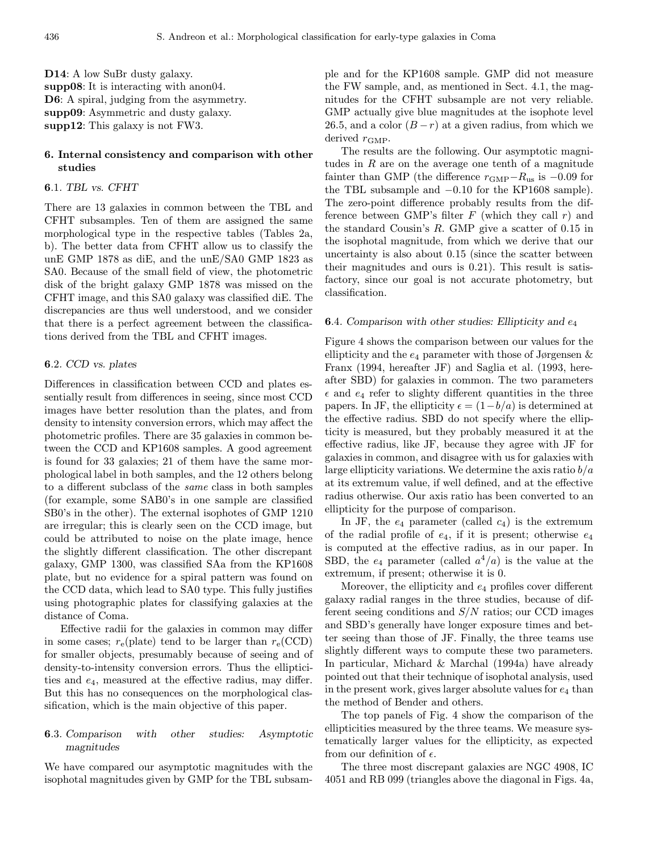D<sub>14</sub>: A low SuBr dusty galaxy. supp08: It is interacting with anon04. D6: A spiral, judging from the asymmetry. supp09: Asymmetric and dusty galaxy. supp12: This galaxy is not FW3.

## 6. Internal consistency and comparison with other studies

## 6.1. TBL vs. CFHT

There are 13 galaxies in common between the TBL and CFHT subsamples. Ten of them are assigned the same morphological type in the respective tables (Tables 2a, b). The better data from CFHT allow us to classify the unE GMP 1878 as diE, and the unE/SA0 GMP 1823 as SA0. Because of the small field of view, the photometric disk of the bright galaxy GMP 1878 was missed on the CFHT image, and this SA0 galaxy was classified diE. The discrepancies are thus well understood, and we consider that there is a perfect agreement between the classifications derived from the TBL and CFHT images.

#### 6.2. CCD vs. plates

Differences in classification between CCD and plates essentially result from differences in seeing, since most CCD images have better resolution than the plates, and from density to intensity conversion errors, which may affect the photometric profiles. There are 35 galaxies in common between the CCD and KP1608 samples. A good agreement is found for 33 galaxies; 21 of them have the same morphological label in both samples, and the 12 others belong to a different subclass of the same class in both samples (for example, some SAB0's in one sample are classified SB0's in the other). The external isophotes of GMP 1210 are irregular; this is clearly seen on the CCD image, but could be attributed to noise on the plate image, hence the slightly different classification. The other discrepant galaxy, GMP 1300, was classified SAa from the KP1608 plate, but no evidence for a spiral pattern was found on the CCD data, which lead to SA0 type. This fully justifies using photographic plates for classifying galaxies at the distance of Coma.

Effective radii for the galaxies in common may differ in some cases;  $r_e$ (plate) tend to be larger than  $r_e$ (CCD) for smaller objects, presumably because of seeing and of density-to-intensity conversion errors. Thus the ellipticities and e4, measured at the effective radius, may differ. But this has no consequences on the morphological classification, which is the main objective of this paper.

## 6.3. Comparison with other studies: Asymptotic magnitudes

We have compared our asymptotic magnitudes with the isophotal magnitudes given by GMP for the TBL subsample and for the KP1608 sample. GMP did not measure the FW sample, and, as mentioned in Sect. 4.1, the magnitudes for the CFHT subsample are not very reliable. GMP actually give blue magnitudes at the isophote level 26.5, and a color  $(B - r)$  at a given radius, from which we derived  $r_{\text{GMP}}$ .

The results are the following. Our asymptotic magnitudes in  $R$  are on the average one tenth of a magnitude fainter than GMP (the difference  $r_{\text{GMP}}-R_{\text{us}}$  is  $-0.09$  for the TBL subsample and −0.10 for the KP1608 sample). The zero-point difference probably results from the difference between GMP's filter  $F$  (which they call  $r$ ) and the standard Cousin's  $R$ . GMP give a scatter of 0.15 in the isophotal magnitude, from which we derive that our uncertainty is also about 0.15 (since the scatter between their magnitudes and ours is 0.21). This result is satisfactory, since our goal is not accurate photometry, but classification.

#### **6.4.** Comparison with other studies: Ellipticity and  $e_4$

Figure 4 shows the comparison between our values for the ellipticity and the  $e_4$  parameter with those of Jørgensen  $\&$ Franx (1994, hereafter JF) and Saglia et al. (1993, hereafter SBD) for galaxies in common. The two parameters  $\epsilon$  and  $e_4$  refer to slighty different quantities in the three papers. In JF, the ellipticity  $\epsilon = (1-b/a)$  is determined at the effective radius. SBD do not specify where the ellipticity is measured, but they probably measured it at the effective radius, like JF, because they agree with JF for galaxies in common, and disagree with us for galaxies with large ellipticity variations. We determine the axis ratio  $b/a$ at its extremum value, if well defined, and at the effective radius otherwise. Our axis ratio has been converted to an ellipticity for the purpose of comparison.

In JF, the  $e_4$  parameter (called  $c_4$ ) is the extremum of the radial profile of  $e_4$ , if it is present; otherwise  $e_4$ is computed at the effective radius, as in our paper. In SBD, the  $e_4$  parameter (called  $a^4/a$ ) is the value at the extremum, if present; otherwise it is 0.

Moreover, the ellipticity and  $e_4$  profiles cover different galaxy radial ranges in the three studies, because of different seeing conditions and  $S/N$  ratios; our CCD images and SBD's generally have longer exposure times and better seeing than those of JF. Finally, the three teams use slightly different ways to compute these two parameters. In particular, Michard & Marchal (1994a) have already pointed out that their technique of isophotal analysis, used in the present work, gives larger absolute values for  $e_4$  than the method of Bender and others.

The top panels of Fig. 4 show the comparison of the ellipticities measured by the three teams. We measure systematically larger values for the ellipticity, as expected from our definition of  $\epsilon$ .

The three most discrepant galaxies are NGC 4908, IC 4051 and RB 099 (triangles above the diagonal in Figs. 4a,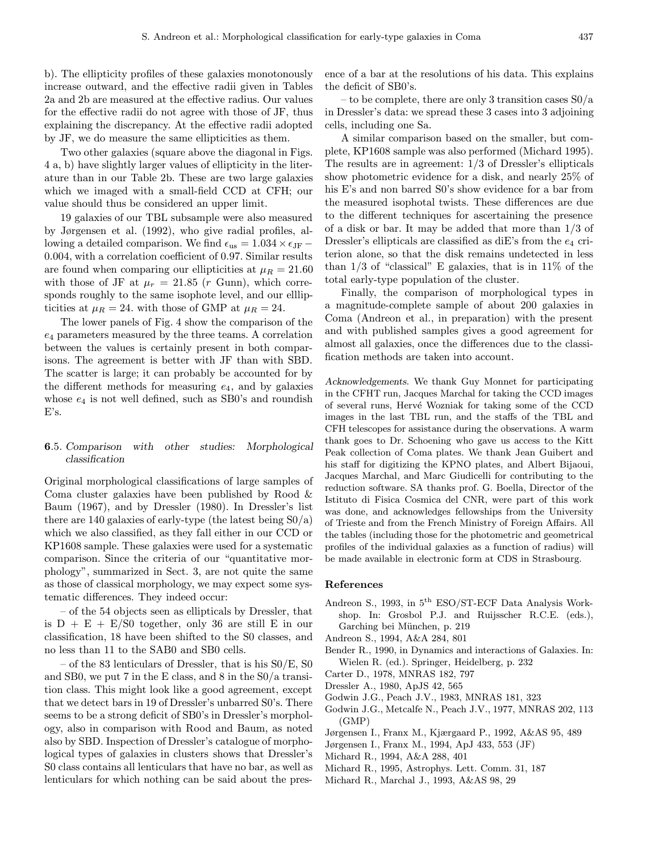b). The ellipticity profiles of these galaxies monotonously increase outward, and the effective radii given in Tables 2a and 2b are measured at the effective radius. Our values for the effective radii do not agree with those of JF, thus explaining the discrepancy. At the effective radii adopted by JF, we do measure the same ellipticities as them.

Two other galaxies (square above the diagonal in Figs. 4 a, b) have slightly larger values of ellipticity in the literature than in our Table 2b. These are two large galaxies which we imaged with a small-field CCD at CFH; our value should thus be considered an upper limit.

19 galaxies of our TBL subsample were also measured by Jørgensen et al. (1992), who give radial profiles, allowing a detailed comparison. We find  $\epsilon_{\text{us}} = 1.034 \times \epsilon_{\text{JF}}$  – 0.004, with a correlation coefficient of 0.97. Similar results are found when comparing our ellipticities at  $\mu_R = 21.60$ with those of JF at  $\mu_r = 21.85$  (r Gunn), which corresponds roughly to the same isophote level, and our elllipticities at  $\mu_R = 24$ . with those of GMP at  $\mu_R = 24$ .

The lower panels of Fig. 4 show the comparison of the  $e_4$  parameters measured by the three teams. A correlation between the values is certainly present in both comparisons. The agreement is better with JF than with SBD. The scatter is large; it can probably be accounted for by the different methods for measuring  $e_4$ , and by galaxies whose  $e_4$  is not well defined, such as SB0's and roundish E's.

## 6.5. Comparison with other studies: Morphological classification

Original morphological classifications of large samples of Coma cluster galaxies have been published by Rood & Baum (1967), and by Dressler (1980). In Dressler's list there are 140 galaxies of early-type (the latest being S0/a) which we also classified, as they fall either in our CCD or KP1608 sample. These galaxies were used for a systematic comparison. Since the criteria of our "quantitative morphology", summarized in Sect. 3, are not quite the same as those of classical morphology, we may expect some systematic differences. They indeed occur:

– of the 54 objects seen as ellipticals by Dressler, that is  $D + E + E/S0$  together, only 36 are still E in our classification, 18 have been shifted to the S0 classes, and no less than 11 to the SAB0 and SB0 cells.

– of the 83 lenticulars of Dressler, that is his S0/E, S0 and SB0, we put 7 in the E class, and 8 in the S0/a transition class. This might look like a good agreement, except that we detect bars in 19 of Dressler's unbarred S0's. There seems to be a strong deficit of SB0's in Dressler's morphology, also in comparison with Rood and Baum, as noted also by SBD. Inspection of Dressler's catalogue of morphological types of galaxies in clusters shows that Dressler's S0 class contains all lenticulars that have no bar, as well as lenticulars for which nothing can be said about the presence of a bar at the resolutions of his data. This explains the deficit of SB0's.

– to be complete, there are only 3 transition cases S0/a in Dressler's data: we spread these 3 cases into 3 adjoining cells, including one Sa.

A similar comparison based on the smaller, but complete, KP1608 sample was also performed (Michard 1995). The results are in agreement: 1/3 of Dressler's ellipticals show photometric evidence for a disk, and nearly 25% of his E's and non barred S0's show evidence for a bar from the measured isophotal twists. These differences are due to the different techniques for ascertaining the presence of a disk or bar. It may be added that more than 1/3 of Dressler's ellipticals are classified as diE's from the  $e_4$  criterion alone, so that the disk remains undetected in less than  $1/3$  of "classical" E galaxies, that is in  $11\%$  of the total early-type population of the cluster.

Finally, the comparison of morphological types in a magnitude-complete sample of about 200 galaxies in Coma (Andreon et al., in preparation) with the present and with published samples gives a good agreement for almost all galaxies, once the differences due to the classification methods are taken into account.

Acknowledgements. We thank Guy Monnet for participating in the CFHT run, Jacques Marchal for taking the CCD images of several runs, Herv´e Wozniak for taking some of the CCD images in the last TBL run, and the staffs of the TBL and CFH telescopes for assistance during the observations. A warm thank goes to Dr. Schoening who gave us access to the Kitt Peak collection of Coma plates. We thank Jean Guibert and his staff for digitizing the KPNO plates, and Albert Bijaoui, Jacques Marchal, and Marc Giudicelli for contributing to the reduction software. SA thanks prof. G. Boella, Director of the Istituto di Fisica Cosmica del CNR, were part of this work was done, and acknowledges fellowships from the University of Trieste and from the French Ministry of Foreign Affairs. All the tables (including those for the photometric and geometrical profiles of the individual galaxies as a function of radius) will be made available in electronic form at CDS in Strasbourg.

#### References

- Andreon S., 1993, in 5<sup>th</sup> ESO/ST-ECF Data Analysis Workshop. In: Grosbol P.J. and Ruijsscher R.C.E. (eds.), Garching bei München, p. 219
- Andreon S., 1994, A&A 284, 801
- Bender R., 1990, in Dynamics and interactions of Galaxies. In: Wielen R. (ed.). Springer, Heidelberg, p. 232
- Carter D., 1978, MNRAS 182, 797
- Dressler A., 1980, ApJS 42, 565
- Godwin J.G., Peach J.V., 1983, MNRAS 181, 323
- Godwin J.G., Metcalfe N., Peach J.V., 1977, MNRAS 202, 113 (GMP)
- Jørgensen I., Franx M., Kjærgaard P., 1992, A&AS 95, 489
- Jørgensen I., Franx M., 1994, ApJ 433, 553 (JF)
- Michard R., 1994, A&A 288, 401
- Michard R., 1995, Astrophys. Lett. Comm. 31, 187
- Michard R., Marchal J., 1993, A&AS 98, 29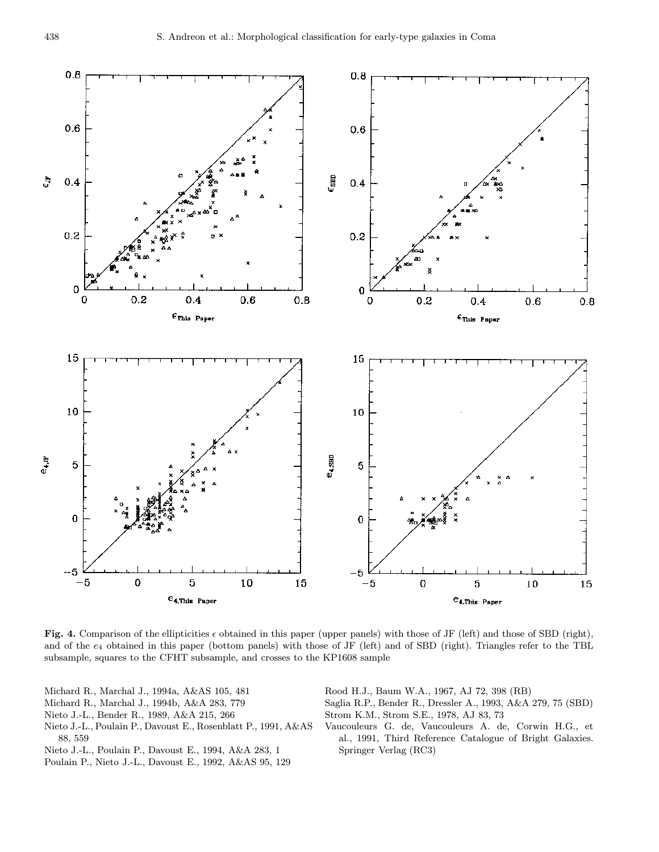

Fig. 4. Comparison of the ellipticities  $\epsilon$  obtained in this paper (upper panels) with those of JF (left) and those of SBD (right), and of the  $e_4$  obtained in this paper (bottom panels) with those of JF (left) and of SBD (right). Triangles refer to the TBL subsample, squares to the CFHT subsample, and crosses to the KP1608 sample

- Michard R., Marchal J., 1994a, A&AS 105, 481
- Michard R., Marchal J., 1994b, A&A 283, 779
- Nieto J.-L., Bender R., 1989, A&A 215, 266
- Nieto J.-L., Poulain P., Davoust E., Rosenblatt P., 1991, A&AS 88, 559
- Nieto J.-L., Poulain P., Davoust E., 1994, A&A 283, 1
- Poulain P., Nieto J.-L., Davoust E., 1992, A&AS 95, 129

Rood H.J., Baum W.A., 1967, AJ 72, 398 (RB)

- Saglia R.P., Bender R., Dressler A., 1993, A&A 279, 75 (SBD) Strom K.M., Strom S.E., 1978, AJ 83, 73
- Vaucouleurs G. de, Vaucouleurs A. de, Corwin H.G., et al., 1991, Third Reference Catalogue of Bright Galaxies. Springer Verlag (RC3)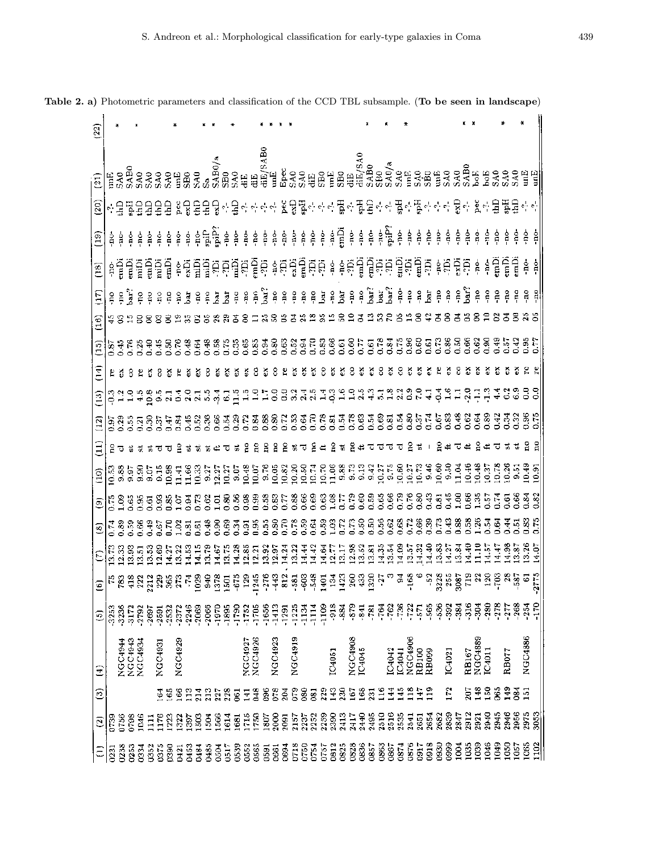| (22)                                     |                      |                 |          |                |                             |                   |                |                                                                                                                                                                                                                                 |         |                         |                 |               |               |                                   |                          |                    |                                       |         |                 |             |             |               |                     |                |                 |                |                                                                                                                                                       |                  |                      |            |                                   |               |                                                        |                       |               |                  |          |                |                 |                |                      |               |                        |             |
|------------------------------------------|----------------------|-----------------|----------|----------------|-----------------------------|-------------------|----------------|---------------------------------------------------------------------------------------------------------------------------------------------------------------------------------------------------------------------------------|---------|-------------------------|-----------------|---------------|---------------|-----------------------------------|--------------------------|--------------------|---------------------------------------|---------|-----------------|-------------|-------------|---------------|---------------------|----------------|-----------------|----------------|-------------------------------------------------------------------------------------------------------------------------------------------------------|------------------|----------------------|------------|-----------------------------------|---------------|--------------------------------------------------------|-----------------------|---------------|------------------|----------|----------------|-----------------|----------------|----------------------|---------------|------------------------|-------------|
| (21)                                     | E                    | SA <sub>0</sub> |          |                |                             |                   |                |                                                                                                                                                                                                                                 |         |                         |                 |               |               |                                   | 骂骂                       |                    | $\rm{d}\mathrm{iE}/\mathrm{SAB0}$ unE |         | Epec            |             | <b>SSE</b>  |               | S <sub>B0</sub>     | unE            | SB <sub>0</sub> | diE<br>diE/SA0 |                                                                                                                                                       | $\frac{1}{380}$  |                      |            | $\frac{\text{SAO/A}}{\text{SAO}}$ |               | <b>SB</b> 238                                          |                       |               |                  | SABO     | ЬoЕ)           |                 |                | <b>B</b> 222<br>2323 |               | 멸멸                     |             |
| $\left( 20\right)$                       | - 2                  |                 |          |                |                             |                   |                | 풍율율운율 16 융용용 3 사용                                                                                                                                                                                                               |         |                         |                 |               |               |                                   |                          |                    |                                       |         |                 |             |             |               |                     |                |                 |                | 공사관사 윷닿某자라락풀락 끓을락락풀락뚫락락락 뭉락 왔어 耳뚫물하락                                                                                                                  |                  |                      |            |                                   |               |                                                        |                       |               |                  |          |                |                 |                |                      |               |                        |             |
| (19)                                     | ġ                    | å               | ĝ        | $\frac{6}{7}$  | ę.                          | $\frac{1}{2}$     |                | 휴휴                                                                                                                                                                                                                              |         | ទំ ទំ <sup>5</sup> ផ្លូ |                 | ر<br>ويو      |               | $\mathop{\circ}\limits^{\circ}$ . |                          |                    |                                       |         |                 |             |             |               |                     |                |                 |                |                                                                                                                                                       |                  |                      |            |                                   | ģ.            | ę.                                                     |                       | ខុំ ខ្ញុំ     | ģ                | ġ.       | ខ្ពុ           | $\frac{6}{7}$   | Å              | ģ                    | ė             | ģ                      | ġ           |
| (18)                                     | 휴                    | ت<br>a          | زم<br>آ  |                | រដ្ឋក្នុង<br>ស្រុក<br>ស្រុក |                   |                |                                                                                                                                                                                                                                 |         |                         |                 |               |               |                                   |                          |                    |                                       |         |                 |             |             |               |                     |                |                 |                | នុជ្ជម្នីម្នាងម៉ូតូ ៖ដុម្បីម្ដីដូតូ ៖ ៖ដុម្បីម្ដុំដូតូម៉ូម៉ូតូ ៖ដុម្បីត្រ<br>៖ដូម្បីម្ដុំដូតូម៉ូតូ ៖ដុម្បីដូតូតូ ៖ ៖ដុម្បីម្ដុំដូតូម៉ូម៉ូតូ ៖ដុម្បីត្ |                  |                      |            |                                   |               |                                                        |                       |               |                  |          | ę              | $\frac{6}{7}$   | ្អ<br>ក្នុ     | Ĕ                    | ن<br>تا       | ÷ne-                   | ġ.          |
| $\Xi$                                    | $\frac{1}{2}$        | ξ               | ्<br>प्र | ę.             | $\frac{3}{2}$               | $\frac{\circ}{2}$ | ΡÖ.            | ê                                                                                                                                                                                                                               | š       | $\frac{8}{7}$           | å.              | Ā             | ä             | P.                                | pu.                      | $\hat{\mathbf{e}}$ | .<br>Bai                              |         | 20              | eq.         | $\tilde{E}$ | $\frac{8}{7}$ | kd                  | $\frac{9}{5}$  | bar             | $_{\rm no}$    | $\beta$                                                                                                                                               | Ĵ                | Bar<br>bar           | ė          | $\frac{6}{7}$                     | $\rm _H^o$    | $\frac{1}{2}$                                          | $\mathop{\mathsf{e}}$ | $\mathbf{e}$  | $\frac{1}{2}$    | .<br>Rai | ę.             | $\frac{0}{2}$   | ę.             | $\frac{8}{7}$        |               | ăо.                    | å           |
| $\left(16\right)$                        | 585                  |                 |          | 88             |                             |                   |                |                                                                                                                                                                                                                                 |         | 8                       | 3               |               |               | 舌                                 | 8                        | Ξ                  |                                       | 225     |                 | 콤           |             | $\mathbf{r}$  |                     |                | 응               | ≘              | ह                                                                                                                                                     | $\mathbb{Z}$     | $\mathfrak{B}$<br>R. |            |                                   |               |                                                        | Ξ                     | 8             | ਤ                | 3        | 8              | ≘               | ε              | ਠ                    |               | 353                    |             |
| වූ                                       | 0.87                 |                 |          |                |                             |                   |                |                                                                                                                                                                                                                                 |         |                         |                 |               |               |                                   |                          |                    |                                       |         |                 |             |             |               |                     |                |                 |                |                                                                                                                                                       |                  |                      |            |                                   |               |                                                        |                       |               |                  |          | 0.62           | 0.90            | 0.49           | 0.57                 |               | 537<br>0.77            |             |
| Ξ                                        |                      |                 | 8        |                |                             |                   |                |                                                                                                                                                                                                                                 |         |                         |                 |               |               |                                   |                          |                    | స                                     | 8       |                 | ă           | స           | ప             | 8                   | 5              | š               |                |                                                                                                                                                       |                  | 8                    |            |                                   |               |                                                        |                       |               |                  |          |                |                 |                |                      |               |                        |             |
| $\left(13\right)$                        |                      |                 |          |                |                             |                   |                | en en die die die staat van die stad van die stad van die stad van die stad van die stad van die stad van die<br>Stad van die stad van die stad van die stad van die stad van die stad van die stad van die stad van die stad v |         |                         | $\frac{7}{5}$ . | $\frac{4}{3}$ | $\mathbbm{S}$ |                                   | restees                  |                    |                                       |         |                 |             |             |               |                     |                |                 |                |                                                                                                                                                       |                  |                      |            |                                   | $\frac{6}{5}$ | $\frac{1}{4}$                                          | ु                     | $\frac{6}{1}$ | $\Xi$            | $-2.0$   | 루              | ្មី             |                |                      |               | စ္ဒီဒီ                 |             |
| $\begin{array}{c} (12) \\ 1 \end{array}$ | ងនិង<br>ទី១១១        |                 |          |                | 0.30                        |                   |                | ង<br>ទី មិន                                                                                                                                                                                                                     | 0.45    | 0.52                    | 0.36            | 0.66          |               | $\frac{33}{23}$                   | 0.72                     |                    | 0.83                                  | 0.80    |                 |             | ិ<br>ដូចទី៩ |               | 0.78                | $\overline{8}$ | 34              | ದ ಕೆ<br>೧.೮    |                                                                                                                                                       | 0.54             | 0.69<br>0.81         | 0.54       | 0.80                              | 0.37          | 0.74                                                   | 0.67                  | 0.83          | 0.48             | 0.62     | 0.64           | 0.89            | 0.42           |                      |               | 0.96                   |             |
| $\Xi$                                    |                      |                 |          |                | 27.55                       | ಸ                 | で              | Ξ                                                                                                                                                                                                                               |         |                         |                 | ≃             | ಸ             |                                   |                          |                    | å                                     | å       | g               | ÷,          | ಸ           | 윧             | ∉                   | 옾              | ă               | å              | ₩                                                                                                                                                     | ಸ                |                      | ಸ          |                                   |               |                                                        | 옲                     |               |                  |          | 8              |                 | ಸ              |                      |               | 8                      |             |
| (10)                                     | 10.53                |                 |          |                | စီးခံခံ<br>စစ်စစ်စ          | $\frac{15}{2}$    |                | 0.88<br>11.66<br>11.66<br>12.37                                                                                                                                                                                                 |         |                         |                 |               |               |                                   |                          |                    |                                       |         |                 |             |             |               |                     |                |                 |                | なければあるかいはない。<br>このことのは、このことはないはない。 このことはない。 こうじゅうはない こうしょう こうしょう こうしょう こうしょう                                                                          |                  |                      |            |                                   |               |                                                        |                       |               |                  | 10.46    | 10.48          |                 |                | 5885<br>9998         |               | 10.49                  | $rac{5}{2}$ |
| ම                                        |                      |                 |          |                |                             |                   |                |                                                                                                                                                                                                                                 |         |                         |                 |               |               |                                   |                          |                    |                                       |         |                 |             |             |               |                     |                |                 |                |                                                                                                                                                       |                  |                      |            |                                   |               |                                                        |                       |               |                  |          | $\frac{3}{2}$  |                 | 0.57           | 6.66<br>0.66         |               |                        | 0.82        |
| ම                                        | 1783887<br>00000     |                 |          |                |                             |                   |                | 523538883<br>53555555                                                                                                                                                                                                           |         |                         |                 |               |               |                                   |                          |                    |                                       |         |                 |             |             |               |                     |                | 5338223333223   |                |                                                                                                                                                       | 0.56             | 0.62                 | 0.68       | 0.72                              | 0.66          | 0.39                                                   | 0.73                  | 0.43          | 0.88             |          | $0.58$<br>1.26 | ैं              | $rac{3}{9}$    | $\frac{4}{3}$        |               | $\frac{0.83}{0.75}$    |             |
| E                                        | $\frac{13.33}{2.33}$ |                 |          |                | <b>8558</b><br>2222         |                   |                | 1223556<br>133556                                                                                                                                                                                                               |         |                         |                 | 14.67         |               |                                   | <b>152351</b><br>1525121 |                    |                                       |         | $354$<br>$14.3$ | 13.22       |             |               | 442<br>1442<br>1412 |                |                 |                | <b>888585</b><br>23235                                                                                                                                |                  |                      | 14.09      |                                   |               | $\begin{array}{c} 57888 \\ 27424 \\ 17424 \end{array}$ |                       |               | $13.84$<br>14.40 |          | 11.10          | 14.57           |                | 14.987<br>14.987     |               | $13.26$<br>14.07       |             |
| ©                                        |                      |                 |          |                |                             |                   |                |                                                                                                                                                                                                                                 |         |                         |                 |               |               |                                   |                          |                    |                                       |         |                 |             |             |               |                     |                |                 |                |                                                                                                                                                       |                  |                      |            |                                   |               |                                                        |                       |               |                  |          |                |                 |                |                      |               | $-2775$                |             |
| $\overline{5}$                           | $-3253$              | 3236            | -3172    | 2792           | 2697                        | -2591             | 2532           | 2372                                                                                                                                                                                                                            | $-2246$ | $-2069$                 | $-2066$         | -1970         |               | $-1895$<br>$-1790$                | $-1752$                  | -1705              | -1656                                 | $-1413$ | $-1291$         | 1225        | $-1134$     | $-1114$       | $-1109$             | $-918$         | -884            | -879           | $-841$                                                                                                                                                | $\overline{181}$ | $-762$<br>$-764$     | $-736$     | $-722$                            | $-571$        | $-565$                                                 | $-536$                | <b>392</b>    | $-384$           | $-316$   | Bg.            | $-280$          | $-278$         | $-277$               | $-268$        | $-254$                 | -170        |
| Ξ                                        |                      | NGC4944         | NGC4943  | <b>NGC+034</b> |                             | NGC4931           |                | NGC4929                                                                                                                                                                                                                         |         |                         |                 |               |               |                                   | NGC4927                  | NGC4926            |                                       | NGC4923 |                 | NGC4919     |             |               |                     | IC4051         |                 | NGC4908        | IC4045                                                                                                                                                |                  | IC4042               | IC4041     | NGC4906                           | RB100         | RB <sub>09</sub>                                       |                       | IC4021        |                  | RB167    | NGC4889        | IC4011          |                | RB077                |               | NGC4886                |             |
| ම                                        |                      |                 |          |                |                             | 3                 | $\ddot{\circ}$ | 166                                                                                                                                                                                                                             | $_{13}$ | 214                     | $_{213}$        | 227           | 228           | $\overline{8}$                    | 141                      | 348                | š,                                    | 078     | 204             | $5^{\circ}$ | 80          | 081           | 229                 | 143            | 230             | 167            | 168                                                                                                                                                   | $\overline{3}$   | 16                   | 145<br>144 | 118                               | 147           | 119                                                    |                       | 172           |                  | 707      | 148            | $\frac{8}{150}$ | $\ddot{\rm s}$ | $\frac{2}{3}$        | $\frac{3}{2}$ | 151                    |             |
| $\tilde{c}$                              | 0739                 | 0756            | 0798     | 1046           | $\frac{11}{11}$             | 1176              | 1223           | 1322                                                                                                                                                                                                                            | 1397    | 1503                    | 504             | 1566          | 1614          | 1681                              | 1715                     | 750                | 1807                                  | 2000    | 2091            | 2157        | 2237        |               | 2252<br>2259        | 2390           | 2413            | 2417           | 2440                                                                                                                                                  | 2495             | 2510<br>2516         | 2535       | 2541                              | 2651          | 2654                                                   | 2682                  | 2839          | 2847             | 2912     | 2921           | 2940            | 2945           | 2946                 | 2956          | 2975<br>$\frac{55}{2}$ |             |
| Ξ                                        | 0231                 | 0238            | 0253     | 0334           | 0352                        | 0375              | <b>BS0</b>     | 0421                                                                                                                                                                                                                            | 0453    | 0484                    | 0485            | 0504          | 0517          | 0539                              | 0552                     | 0565               | 0591                                  | 0661    | 0694            | 0718        | 0750        | 0754          | 0757                | 0812           | 0825            | 0828           | 0836                                                                                                                                                  | 0857             | 0863<br>0867         | 0874       | 0876                              | 0917          | 0918                                                   | 0930                  | 0999          | 1004             | 1035     | 1039           | 1046            | 1049           | 1050                 | 1057          | 1065                   | 1102        |

Table 2. a) Photometric parameters and classification of the CCD TBL subsample. (To be seen in landscape)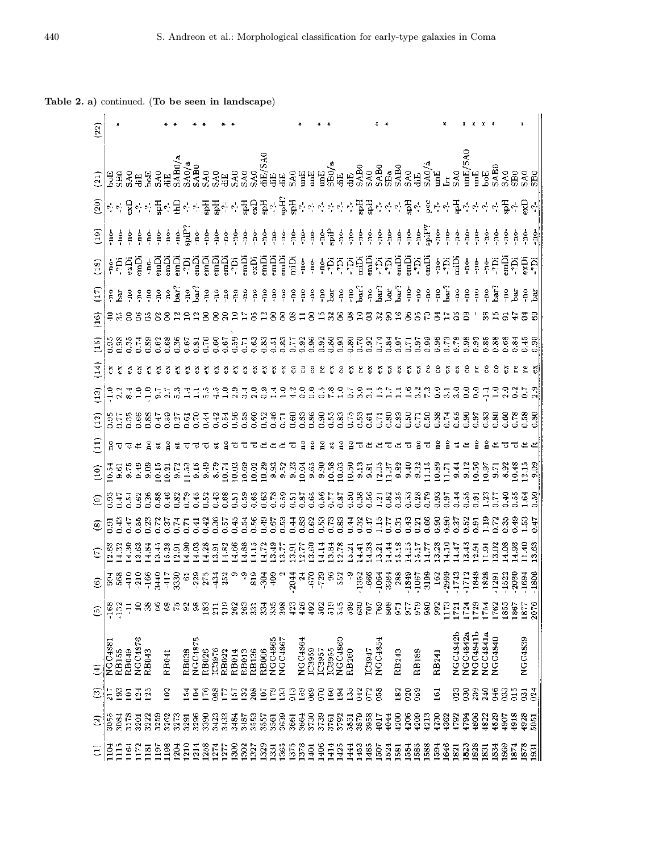## Table 2. a) continued. (To be seen in landscape)

| $\overline{22}$                                                                                                                                                                                                                          |                                                                                                                                                                                                                                  |               |               |          |                 |               |                   |              |              |                |                                |        |                   |       |       |       |       |                 |         |      |         |               |        |                           |              |       |               |        |         |                 |                |                |              |            |                  |      |                 |                 |                 |                 |                |      |      |                |      |
|------------------------------------------------------------------------------------------------------------------------------------------------------------------------------------------------------------------------------------------|----------------------------------------------------------------------------------------------------------------------------------------------------------------------------------------------------------------------------------|---------------|---------------|----------|-----------------|---------------|-------------------|--------------|--------------|----------------|--------------------------------|--------|-------------------|-------|-------|-------|-------|-----------------|---------|------|---------|---------------|--------|---------------------------|--------------|-------|---------------|--------|---------|-----------------|----------------|----------------|--------------|------------|------------------|------|-----------------|-----------------|-----------------|-----------------|----------------|------|------|----------------|------|
|                                                                                                                                                                                                                                          |                                                                                                                                                                                                                                  |               |               |          |                 |               |                   |              |              |                |                                |        |                   |       |       |       |       |                 |         |      |         |               |        |                           |              |       |               |        |         |                 |                |                |              |            |                  |      |                 |                 |                 |                 |                |      |      |                |      |
|                                                                                                                                                                                                                                          |                                                                                                                                                                                                                                  |               |               |          |                 |               |                   |              |              |                |                                |        |                   |       |       |       |       |                 |         |      |         |               |        |                           |              |       |               |        |         |                 |                |                |              |            |                  |      |                 |                 |                 |                 |                |      |      |                |      |
| $\overline{a}$                                                                                                                                                                                                                           |                                                                                                                                                                                                                                  |               |               |          |                 |               |                   |              |              |                |                                |        |                   |       |       |       |       |                 |         |      |         |               |        |                           |              |       |               |        |         |                 |                |                |              |            |                  |      |                 |                 |                 |                 |                |      |      | å,             |      |
| $\frac{1}{2}$                                                                                                                                                                                                                            | ្តុំ នុង្គក្នុង ក្នុង ក្នុង ក្នុង ក្នុង ក្នុង ក្នុង ក្នុង ក្នុង ក្នុង ក្នុង ក្នុង ក្នុង ក្នុង ក្នុង ក្នុង ក្នុង<br>នុង្គក្នុង ក្នុង ក្នុង ក្នុង ក្នុង ក្នុង ក្នុង ក្នុង ក្នុង ក្នុង ក្នុង ក្នុង ក្នុង ក្នុង ក្នុង ក្នុង ក្នុង ក្ |               |               |          |                 |               |                   |              |              |                |                                |        |                   |       |       |       |       |                 |         |      |         |               |        |                           |              |       |               |        |         |                 |                |                |              |            |                  |      |                 |                 |                 |                 |                |      |      |                |      |
|                                                                                                                                                                                                                                          |                                                                                                                                                                                                                                  |               |               |          |                 |               |                   |              |              |                |                                |        |                   |       |       |       |       |                 |         |      |         |               |        |                           |              |       |               |        |         |                 |                |                |              |            |                  |      |                 |                 |                 |                 |                |      |      |                |      |
| $\widetilde{5}$                                                                                                                                                                                                                          |                                                                                                                                                                                                                                  |               |               |          |                 |               |                   |              |              |                |                                |        |                   |       |       |       |       |                 |         |      |         | 2883182       |        |                           |              |       |               |        |         |                 | 2882828288625  |                |              |            |                  |      | 88              |                 |                 |                 |                |      |      |                |      |
|                                                                                                                                                                                                                                          |                                                                                                                                                                                                                                  |               |               |          |                 |               |                   |              |              |                |                                |        |                   |       |       |       |       |                 |         |      |         |               |        |                           |              |       |               |        |         |                 |                |                |              |            |                  |      |                 |                 |                 |                 |                |      |      |                |      |
| $\mathbf{14}$                                                                                                                                                                                                                            |                                                                                                                                                                                                                                  |               |               |          |                 |               |                   |              |              |                |                                |        |                   |       |       |       |       |                 | ×       |      |         |               |        | X.                        | -8           |       |               |        |         |                 |                |                |              |            |                  |      |                 |                 |                 |                 |                |      |      |                |      |
| $\Xi$                                                                                                                                                                                                                                    |                                                                                                                                                                                                                                  |               |               |          |                 |               |                   |              |              |                | ុលវាក្តុសូច្ច<br>ស្រុកក្តុងក្ត |        |                   |       |       |       |       |                 |         |      |         |               |        |                           |              |       |               |        |         |                 |                |                |              |            |                  |      |                 |                 |                 |                 |                |      |      |                |      |
| $\widetilde{\Xi}$                                                                                                                                                                                                                        |                                                                                                                                                                                                                                  |               |               |          |                 |               |                   |              |              |                |                                |        |                   |       |       |       |       |                 |         |      |         |               |        |                           |              |       |               |        |         |                 |                |                |              |            |                  |      |                 |                 |                 |                 |                |      |      |                |      |
| Ξ                                                                                                                                                                                                                                        |                                                                                                                                                                                                                                  |               |               |          |                 |               |                   |              |              |                |                                |        |                   |       |       |       |       |                 |         |      |         |               |        | $2 \times 2$ $2 \times 2$ |              |       |               |        |         |                 |                |                |              |            |                  |      |                 |                 |                 |                 |                |      |      |                |      |
|                                                                                                                                                                                                                                          |                                                                                                                                                                                                                                  |               |               |          |                 |               |                   |              |              |                |                                |        |                   |       |       |       |       |                 |         |      |         |               |        |                           |              |       |               |        |         |                 |                |                |              |            |                  |      |                 |                 |                 |                 |                |      |      |                |      |
|                                                                                                                                                                                                                                          |                                                                                                                                                                                                                                  |               |               |          |                 |               |                   |              |              |                |                                |        |                   |       |       |       |       |                 |         |      |         |               |        |                           |              |       |               |        |         |                 |                |                |              |            |                  |      |                 |                 |                 |                 |                |      |      |                |      |
|                                                                                                                                                                                                                                          | $\circ$                                                                                                                                                                                                                          |               |               |          |                 |               |                   |              |              |                |                                |        |                   |       |       |       |       |                 |         |      |         |               |        |                           |              |       |               |        |         |                 |                |                |              |            |                  |      |                 |                 |                 |                 |                |      |      |                |      |
|                                                                                                                                                                                                                                          |                                                                                                                                                                                                                                  |               |               |          |                 |               |                   |              |              |                |                                |        |                   |       |       |       |       |                 |         |      |         |               |        |                           |              |       |               |        |         |                 |                |                |              |            |                  |      |                 |                 |                 |                 |                |      |      |                |      |
| $\circledcirc$   ಪ್ರಜಾಧ ಪ್ರಜಾಧ ಪ್ರಸ್ತುವ ಪ್ರಜಾಧ ಪ್ರಶ್ನೆ ಸಂಸ್ಥೆಯ ಸಂಸ್ಥೆಯ ಸಂಸ್ಥೆಯ ಸಂಸ್ಥೆಯ ಸಂಸ್ಥೆಯ ಸಂಸ್ಥೆಯ ಸಂಸ್ಥೆಯ ಸಂಸ್ಥೆಯ<br>- ಪ್ರಶಸ್ತಿ ಪ್ರಸ್ತುವ ಪ್ರಸ್ತುವ ಸಂಸ್ಥೆಯ ಸಂಸ್ಥೆಯ ಸಂಸ್ಥೆಯ ಸಂಸ್ಥೆಯ ಸಂಸ್ಥೆಯ ಸಂಸ್ಥೆಯ ಸಂಸ್ಥೆಯ ಸಂಸ್ಥೆಯ ಸಂಸ್ಥೆಯ ಸಂಸ್ಥೆಯ ಸ |                                                                                                                                                                                                                                  |               |               |          |                 |               |                   |              |              |                |                                |        |                   |       |       |       |       |                 |         |      |         |               |        |                           |              |       |               |        |         |                 |                |                |              |            |                  |      |                 |                 |                 |                 |                |      |      |                |      |
| ම                                                                                                                                                                                                                                        | $-168$                                                                                                                                                                                                                           | $-132$        | 류             | $\Xi$    | $\mathbf{3}$    | S             | $\rm ^{8}$        | $\mathbb{R}$ | $\mathbb{S}$ | 38             | 183                            | 211    | 219               | 262   | 263   | 331   | 334   | $\frac{3}{2}$   | 398     | 423  | 426     | 492           | 502    | 519                       | 545          | 599   | 630           | 707    | 769     | SQ <sub>8</sub> | $\overline{5}$ | 977            | 979          | <b>980</b> | 992              | 1173 | 1721            | 1724            | 1729            | 1754            | 1762           | 1855 | 1867 | 1877           | 2076 |
| Ξ                                                                                                                                                                                                                                        | <b>NGC4881</b>                                                                                                                                                                                                                   | RB155         | RB049         | NGC4876  | RB043           |               | RB <sub>041</sub> |              | <b>RB038</b> | <b>VGC4875</b> | RB026                          | IC3976 | RB <sub>022</sub> | RB014 | RB013 | RB136 | RB006 | VGC4865         | VCC4867 |      | NGC4864 | IC3959        | IC3957 | IC3955                    | VCC4860      | RB260 |               | IC3947 | NGC4854 |                 | RB243          |                | <b>RB188</b> |            | RB241            |      | <b>NGC4842b</b> | <b>NGC4842a</b> | <b>NGC4841b</b> | <b>NGC4841a</b> | <b>NGC4840</b> |      |      | NGC4839        |      |
| මු                                                                                                                                                                                                                                       | 5                                                                                                                                                                                                                                | $\frac{3}{2}$ | ្ម            | $^{124}$ | 125             |               | 102               |              | 54           | ξ              | $5^{\circ}$                    | 88     | E,                | 횬     | 132   | 208   | ğ     | Ê               | S       | ្កិ  | 159     | $\frac{6}{2}$ | g      | $\frac{8}{2}$             | $\mathbb{E}$ | 135   | $\frac{2}{2}$ | 072    | 88      |                 | 182            | $\overline{0}$ | 059          |            | $\overline{161}$ |      | 023             | 8               | 239             | 240             | $\frac{6}{5}$  | 033  | ä    | $\overline{a}$ | 024  |
| Ξ                                                                                                                                                                                                                                        | 3055                                                                                                                                                                                                                             | 3084          | 3178          | 3201     | 3222            | 3259          | 3262              | 3273         | 3291         | 3296           | 3390                           | 3423   | 3433              | 3484  | 3487  | 3553  | 3557  | 3561            | 3639    | 3661 | 3664    | 3730          | 3739   | 3761                      | 3792         | 3851  | 3879          | 3958   | 1017    | 4044            | 4200           | 4206           | 4209         | 4213       | 4230             | 4362 | 4792            | 4794            | 4806            | 4822            | 4829           | 4907 | 4918 | 4928           | 5051 |
| Ξ                                                                                                                                                                                                                                        | ğ                                                                                                                                                                                                                                | iii           | $\frac{5}{1}$ | 1172     | $\frac{5}{181}$ | $\frac{1}{2}$ | 1198              | 1204         | 1210         | 1214           | 1258                           | 1274   | 1277              | 1300  | 1302  | 1327  | 1329  | $\frac{53}{21}$ | 1365    | 1375 | 1378    | 1401          | 1406   | 1414                      | 425          | 1444  | 1453          | 1485   | 1507    | 1524            | 1581           | 1584           | 1585         | 1588       | 1594             | 1646 | 1821            | 1823            | 1828            | 1831            | 1834           | 1869 | 1874 | 1878           | 1931 |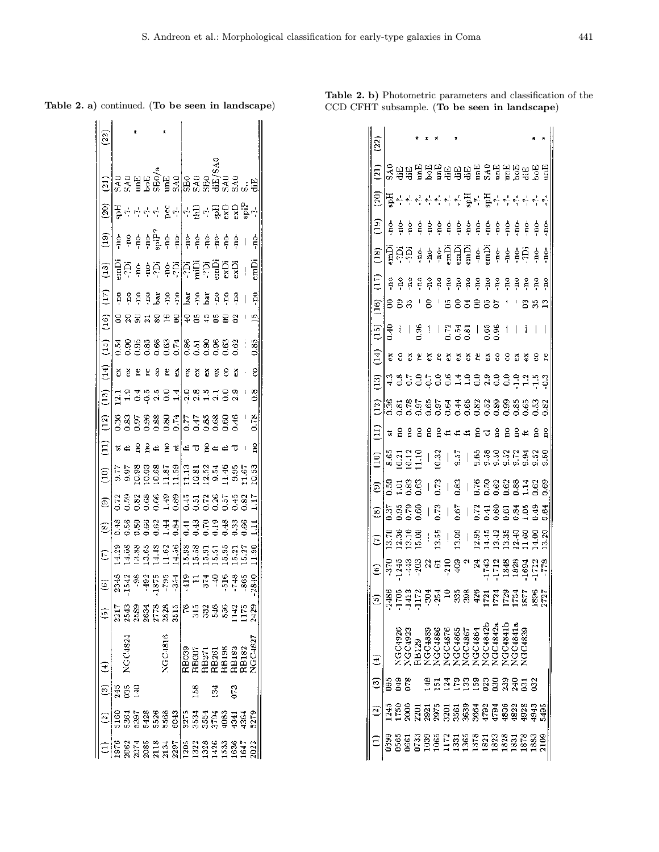Table 2. a) continued. (To be seen in landscape)

Table 2. b) Photometric parameters and classification of the CCD CFHT subsample. (To be seen in landscape)

| $\left[ 3\right]$                                                                                                                                                                                                                                                                                                                                                                                                                                          |                   |         |   |             |                            |              |     |                                                                                                                |     |                                                    |        |    |     |                          |                |
|------------------------------------------------------------------------------------------------------------------------------------------------------------------------------------------------------------------------------------------------------------------------------------------------------------------------------------------------------------------------------------------------------------------------------------------------------------|-------------------|---------|---|-------------|----------------------------|--------------|-----|----------------------------------------------------------------------------------------------------------------|-----|----------------------------------------------------|--------|----|-----|--------------------------|----------------|
|                                                                                                                                                                                                                                                                                                                                                                                                                                                            |                   |         |   |             |                            |              |     |                                                                                                                |     |                                                    |        |    |     |                          |                |
| $\left(\overline{20}\right)$                                                                                                                                                                                                                                                                                                                                                                                                                               | 플루카라라 &카라로카 풇융융통화 |         |   |             |                            |              |     |                                                                                                                |     |                                                    |        |    |     |                          |                |
|                                                                                                                                                                                                                                                                                                                                                                                                                                                            |                   |         |   |             |                            |              |     |                                                                                                                |     |                                                    |        |    | ģ   | $\overline{\phantom{a}}$ | ģ              |
| $ \widehat{2} \widehat{4}\widehat{5} \widehat{4}$ $ \widehat{4} \widehat{5} \widehat{5} \widehat{6} \widehat{7} \widehat{4} \widehat{7} \widehat{4} \widehat{7} \widehat{4} \widehat{7} \widehat{7} \widehat{7} \widehat{7} \widehat{7} \widehat{7} \widehat{7} \widehat{7} \widehat{7} \widehat{7} \widehat{7} \widehat{7} \widehat{7} \widehat{7} \widehat{7} \widehat{7} \widehat{7} \widehat{7} \widehat{7} \widehat{7} \widehat{7} \widehat{7} \wide$ |                   |         |   |             |                            |              |     |                                                                                                                |     |                                                    |        |    |     |                          | emDi           |
| $ \widetilde{\Xi} $ a a                                                                                                                                                                                                                                                                                                                                                                                                                                    |                   |         |   |             |                            |              |     |                                                                                                                |     |                                                    |        |    |     | ដុំ                      | ă              |
| $\begin{array}{c} 16 \\ 1 \end{array}$                                                                                                                                                                                                                                                                                                                                                                                                                     | 8                 |         |   | នី ដ        | 8                          | $\mathbf{e}$ | 鸟   |                                                                                                                | ន្ទ |                                                    | g      |    |     |                          | ň              |
| $\left(15\right)$                                                                                                                                                                                                                                                                                                                                                                                                                                          |                   |         |   |             |                            |              |     |                                                                                                                |     |                                                    |        |    |     |                          |                |
| 회                                                                                                                                                                                                                                                                                                                                                                                                                                                          | ័                 | č       | Ë |             | 8                          | £            | 레   | ă                                                                                                              | ŏ   | ŏ                                                  | č      |    | ő   |                          | g              |
| 호 - 그 그 그 이 시 - 그 이 있는 그 그 이 있<br>그 그 그 이 이 시 이 - 니 이 이 그 이 이 이                                                                                                                                                                                                                                                                                                                                                                                            |                   |         |   |             |                            |              |     |                                                                                                                |     |                                                    |        |    |     |                          | $\ddot{\rm o}$ |
|                                                                                                                                                                                                                                                                                                                                                                                                                                                            |                   |         |   |             |                            |              |     |                                                                                                                |     |                                                    |        |    |     |                          |                |
| $\Xi$ $\approx$ $\Xi$                                                                                                                                                                                                                                                                                                                                                                                                                                      |                   |         | g | $\tilde{a}$ | Ë                          | g            | 회회  |                                                                                                                |     |                                                    |        |    |     |                          | å              |
|                                                                                                                                                                                                                                                                                                                                                                                                                                                            |                   |         |   |             |                            |              |     |                                                                                                                |     |                                                    |        |    |     |                          |                |
|                                                                                                                                                                                                                                                                                                                                                                                                                                                            |                   |         |   |             |                            |              |     |                                                                                                                |     |                                                    |        |    |     |                          |                |
|                                                                                                                                                                                                                                                                                                                                                                                                                                                            |                   |         |   |             |                            |              |     |                                                                                                                |     |                                                    |        |    |     |                          |                |
|                                                                                                                                                                                                                                                                                                                                                                                                                                                            |                   |         |   |             |                            |              |     |                                                                                                                |     |                                                    |        |    |     |                          |                |
| $\frac{1}{2}$ $\frac{1}{3}$ $\frac{1}{3}$ $\frac{2}{3}$ $\frac{3}{2}$ $\frac{1}{3}$ $\frac{1}{3}$ $\frac{3}{4}$ $\frac{1}{2}$ $\frac{1}{3}$ $\frac{1}{4}$ $\frac{1}{3}$ $\frac{1}{3}$ $\frac{1}{3}$ $\frac{1}{3}$ $\frac{1}{3}$ $\frac{1}{3}$ $\frac{1}{3}$ $\frac{1}{3}$ $\frac{1}{3}$ $\frac{1}{3}$ $\frac{1}{3}$                                                                                                                                        |                   |         |   |             |                            |              |     |                                                                                                                |     |                                                    |        |    |     |                          |                |
|                                                                                                                                                                                                                                                                                                                                                                                                                                                            | 217               |         |   |             |                            |              |     | $\begin{array}{c} 333788867678 \\ 33331833676733368711 \\ 33333336871733368711 \\ 333333687111 \\ \end{array}$ |     |                                                    |        |    |     |                          | $^{2429}$      |
|                                                                                                                                                                                                                                                                                                                                                                                                                                                            |                   | VCC4824 |   |             |                            | NGC4816      |     |                                                                                                                |     | RB039<br>RB017<br>RB261<br>RB183<br>RB183<br>RB182 |        |    |     |                          | IGC-1827       |
| $(3)$ (4)                                                                                                                                                                                                                                                                                                                                                                                                                                                  | Ι÷                |         |   |             |                            |              |     |                                                                                                                |     |                                                    |        |    |     |                          |                |
| $\ket{\mathbf{\hat{o}}}$                                                                                                                                                                                                                                                                                                                                                                                                                                   |                   |         |   |             | <b>85588889</b><br>5358888 |              |     | <b>15333333</b><br>8886999                                                                                     |     |                                                    |        |    |     |                          |                |
|                                                                                                                                                                                                                                                                                                                                                                                                                                                            |                   |         |   |             | ersen<br>Sesen             |              | 297 | 1822<br>1823                                                                                                   |     |                                                    | $-426$ | 33 | 636 | $-647$                   |                |

| $\widetilde{\mathbf{z}}$                                     |                               |                      |                 |       |                                            |                                                                                                                                                                                                                                                                                                                |         |                    |                |                                                                                                                                                                                                                                                                                                                |        |         |                |         |        |                          |              |
|--------------------------------------------------------------|-------------------------------|----------------------|-----------------|-------|--------------------------------------------|----------------------------------------------------------------------------------------------------------------------------------------------------------------------------------------------------------------------------------------------------------------------------------------------------------------|---------|--------------------|----------------|----------------------------------------------------------------------------------------------------------------------------------------------------------------------------------------------------------------------------------------------------------------------------------------------------------------|--------|---------|----------------|---------|--------|--------------------------|--------------|
| $\Xi$                                                        |                               |                      |                 |       | Saabel gaaaaabaabaa gaa                    |                                                                                                                                                                                                                                                                                                                |         |                    |                |                                                                                                                                                                                                                                                                                                                |        |         |                |         |        |                          |              |
| $\widetilde{\mathrm{g}}$                                     |                               |                      |                 |       |                                            |                                                                                                                                                                                                                                                                                                                |         |                    |                |                                                                                                                                                                                                                                                                                                                |        |         |                |         |        |                          |              |
| ີອ                                                           |                               | ဒိုင်းနိ             |                 | Ê     | ġ                                          |                                                                                                                                                                                                                                                                                                                |         |                    |                | $\begin{array}{ccccccccccccc}\n\hat{e} & \hat{e} & \hat{e} & \hat{e} & \hat{e} & \hat{e}\n\end{array}$                                                                                                                                                                                                         |        | ę.      |                |         | ំដូម៉ី | ġ                        | ġ            |
| <u>ෙ</u>                                                     |                               |                      |                 |       | មិត្ត<br>មិន មិន មិត្តិ មិត្តិ មិន មិន មិន |                                                                                                                                                                                                                                                                                                                |         |                    |                |                                                                                                                                                                                                                                                                                                                |        |         |                |         |        | $\frac{6}{7}$            | ģ            |
| Ē                                                            | $_{\rm n}^{\rm o}$            | g                    | 유               | ş     | g                                          | å                                                                                                                                                                                                                                                                                                              | ş       |                    | ដ្ឋ ខ្ពុ       | $\frac{2}{7}$ $\frac{2}{7}$                                                                                                                                                                                                                                                                                    |        | g       | å              | å       | g      | å                        | å            |
| $\left( \frac{16}{2} \right)$                                | 883                           |                      |                 |       |                                            |                                                                                                                                                                                                                                                                                                                |         |                    |                | 8383                                                                                                                                                                                                                                                                                                           |        |         |                |         | ຌ      | 32                       |              |
| $\left(15\right)$                                            | Э.<br>Ч                       | Å                    |                 | ၊ န္တ | ĺ                                          |                                                                                                                                                                                                                                                                                                                |         |                    |                | $\frac{1833}{500}$ $\frac{2}{50}$ $\frac{2}{50}$ $\frac{2}{50}$ $\frac{2}{50}$ $\frac{2}{50}$ $\frac{2}{50}$ $\frac{2}{50}$ $\frac{2}{50}$ $\frac{2}{50}$ $\frac{2}{50}$ $\frac{2}{50}$ $\frac{2}{50}$ $\frac{2}{50}$ $\frac{2}{50}$ $\frac{2}{50}$ $\frac{2}{50}$ $\frac{2}{50}$ $\frac{2}{50}$ $\frac{2}{50$ |        |         | $\mathfrak{f}$ |         | i      | $\overline{\phantom{a}}$ | I            |
| $\left( \begin{smallmatrix} 4 \ 1 \end{smallmatrix} \right)$ | ូ ខ                           |                      | ్               | ٤     | č                                          | ٢                                                                                                                                                                                                                                                                                                              | ద       | č                  | Š              | £,                                                                                                                                                                                                                                                                                                             | ă      | 8       | 8              | ă       | š      | g                        | ပ္မ          |
| $\widehat{\Xi}$                                              | strate de la caso de la della |                      |                 |       |                                            |                                                                                                                                                                                                                                                                                                                |         |                    |                |                                                                                                                                                                                                                                                                                                                |        |         |                |         |        |                          |              |
| $\left(12\right)$                                            |                               |                      |                 |       |                                            |                                                                                                                                                                                                                                                                                                                |         |                    |                |                                                                                                                                                                                                                                                                                                                |        |         |                |         |        |                          |              |
| Ξ                                                            | $\overline{\mathfrak{m}}$     | $\frac{8}{11}$       | $\frac{2}{\pi}$ | 2     | 읍                                          |                                                                                                                                                                                                                                                                                                                |         | ⊄                  | $\mathfrak{S}$ |                                                                                                                                                                                                                                                                                                                | ಕಿ ಇ   | å       | g              | 2       | Ë      | å                        | $\mathbf{a}$ |
| $\Xi$                                                        |                               | 83<br>83311<br>89911 |                 |       |                                            | $\frac{3}{2}$                                                                                                                                                                                                                                                                                                  |         |                    |                | $\frac{15}{9}$ $\frac{68888888886}{60000000000}$                                                                                                                                                                                                                                                               |        |         |                |         |        |                          |              |
| <u>ခြေခံ မိ</u>                                              |                               |                      |                 |       |                                            | $\frac{15}{2}$                                                                                                                                                                                                                                                                                                 |         |                    |                | $\begin{array}{r} \mid \frac{82}{10} \mid \frac{12}{10} \frac{12}{10} \frac{12}{10} \frac{12}{10} \frac{12}{10} \frac{12}{10} \frac{12}{10} \frac{12}{10} \end{array}$                                                                                                                                         |        |         |                |         |        |                          |              |
| @                                                            | ြီး အီ R မွိ<br>ခြင်္ခင်      |                      |                 |       |                                            | $^{+6.5}$                                                                                                                                                                                                                                                                                                      |         | $\frac{1}{6}$      |                | $\begin{array}{r} \n 1.73 & 7.80 & 0.80 & 0.80 & 0.80 & 0.80 & 0.80 & 0.80 & 0.80 & 0.80 & 0.80 & 0.80 & 0.80 & 0.80 & 0.80 & 0.80 & 0.80 & 0.80 & 0.80 & 0.80 & 0.80 & 0.80 & 0.80 & 0.80 & 0.80 & 0.80 & 0.80 & 0.80 & 0.80 & 0.80 & 0.80 & 0.80 & 0.80 & 0.80 & 0.80 & $                                    |        |         |                |         |        |                          |              |
| Ξ                                                            | 12828<br>1222                 |                      |                 |       |                                            | $\begin{array}{r} \n 1.53 \\ 1.54 \\ 1.55 \\ 1.56 \\ 1.57 \\ 1.58 \\ 1.59 \\ 1.59 \\ 1.59 \\ 1.59 \\ 1.59 \\ 1.59 \\ 1.59 \\ 1.59 \\ 1.59 \\ 1.59 \\ 1.59 \\ 1.59 \\ 1.59 \\ 1.59 \\ 1.59 \\ 1.59 \\ 1.59 \\ 1.59 \\ 1.59 \\ 1.59 \\ 1.59 \\ 1.59 \\ 1.59 \\ 1.59 \\ 1.59 \\ 1.59 \\ 1.59 \\ 1.59 \\ 1.59 \\ $ |         |                    |                |                                                                                                                                                                                                                                                                                                                |        |         |                |         |        |                          |              |
| Ξ                                                            | $\frac{370}{1245}$            |                      | $\frac{3}{4}$   |       |                                            | $(3.58)$                                                                                                                                                                                                                                                                                                       |         |                    |                |                                                                                                                                                                                                                                                                                                                |        |         |                |         |        |                          |              |
| ଛ                                                            | <b>BESSER ERES EN ELESES</b>  |                      |                 |       |                                            |                                                                                                                                                                                                                                                                                                                |         |                    |                |                                                                                                                                                                                                                                                                                                                |        |         |                |         |        |                          |              |
|                                                              |                               | GC4926               |                 | 18129 | GC <sub>488</sub>                          | <b>GC488</b>                                                                                                                                                                                                                                                                                                   | ICC4876 | VGC4865<br>VGC4867 |                | <b>GC4864</b>                                                                                                                                                                                                                                                                                                  | GC4842 | GC4842. |                | IGC4841 |        |                          |              |
| ლ                                                            |                               |                      |                 |       |                                            |                                                                                                                                                                                                                                                                                                                |         |                    | 3              |                                                                                                                                                                                                                                                                                                                |        |         |                |         |        |                          |              |
|                                                              |                               |                      |                 |       | 5<br>197                                   |                                                                                                                                                                                                                                                                                                                |         | គ្គនី<br>អង្គនី    |                | $\tilde{36}$                                                                                                                                                                                                                                                                                                   | 179    | 679     | 180            | 1822    | 1928   | ia⊄                      | 549          |
|                                                              |                               |                      |                 | ë.    | 1035                                       |                                                                                                                                                                                                                                                                                                                |         |                    |                | $\frac{17388}{13382833}$                                                                                                                                                                                                                                                                                       |        |         | 1828           | 1831    | 1878   |                          |              |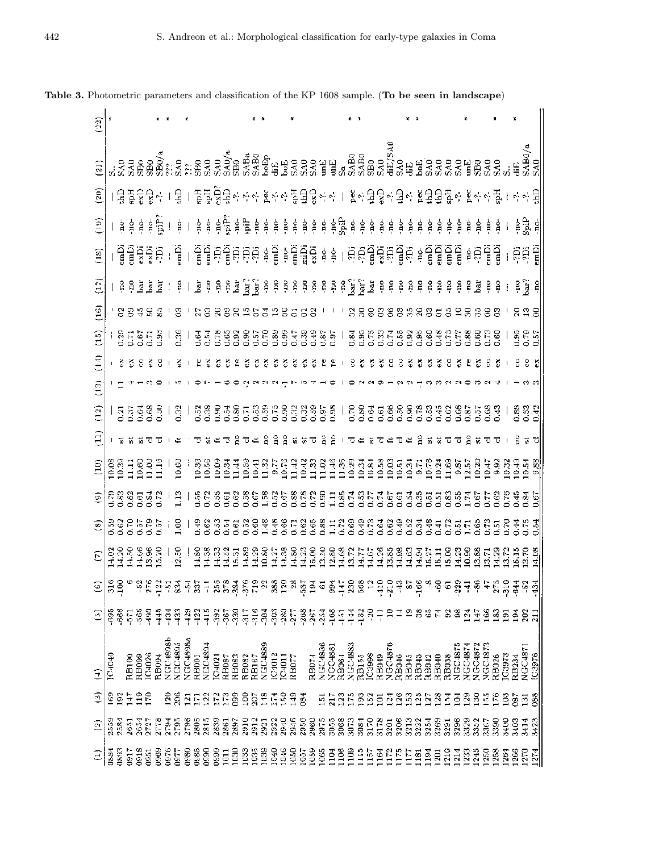| $(22)$                                                                                                  |      |        |                                                                                                                                             |                |          |                |                 |                |               |       |                |       |            |                |                |               |                |                  |        |                |               |       |                |                  |                  |                |        |                |                  |                   |                 |                         |     |                                                                                                                                                                                                                                                                                                                                                                                                                                              |       |                |                |                |                |       |              |                                                                                                                                                                                                                                                                                                                  |                |                                                         |
|---------------------------------------------------------------------------------------------------------|------|--------|---------------------------------------------------------------------------------------------------------------------------------------------|----------------|----------|----------------|-----------------|----------------|---------------|-------|----------------|-------|------------|----------------|----------------|---------------|----------------|------------------|--------|----------------|---------------|-------|----------------|------------------|------------------|----------------|--------|----------------|------------------|-------------------|-----------------|-------------------------|-----|----------------------------------------------------------------------------------------------------------------------------------------------------------------------------------------------------------------------------------------------------------------------------------------------------------------------------------------------------------------------------------------------------------------------------------------------|-------|----------------|----------------|----------------|----------------|-------|--------------|------------------------------------------------------------------------------------------------------------------------------------------------------------------------------------------------------------------------------------------------------------------------------------------------------------------|----------------|---------------------------------------------------------|
| $\begin{pmatrix} 21 \end{pmatrix}$                                                                      |      |        |                                                                                                                                             |                |          |                |                 |                |               |       |                |       |            |                |                |               |                |                  |        |                |               |       |                |                  |                  |                |        |                |                  |                   |                 |                         |     |                                                                                                                                                                                                                                                                                                                                                                                                                                              |       |                |                |                |                |       |              |                                                                                                                                                                                                                                                                                                                  |                | $3.338888882358368888883500$                            |
| $\widetilde{S}$                                                                                         |      |        |                                                                                                                                             |                |          |                |                 |                |               |       |                |       |            |                |                |               |                |                  |        |                |               |       |                |                  |                  |                |        |                |                  |                   |                 |                         |     | 물꿀융물리   물   풀毒葛县리스의 본리스 풀물물의 이   본리물물리를리 본물물품이 본리스 풀                                                                                                                                                                                                                                                                                                                                                                                         |       |                |                |                |                |       |              |                                                                                                                                                                                                                                                                                                                  |                | 추천명                                                     |
| έĴ                                                                                                      |      |        | ខ្ញុំ ខ្ញុំ ខ្ញុំ ម្ចុំ                                                                                                                     |                |          |                |                 | $\frac{1}{2}$  |               |       |                |       |            |                |                |               |                |                  |        |                |               |       |                |                  |                  |                |        |                |                  |                   |                 |                         |     |                                                                                                                                                                                                                                                                                                                                                                                                                                              |       |                |                |                |                |       |              |                                                                                                                                                                                                                                                                                                                  |                | 좋遠 훼                                                    |
| (18)                                                                                                    |      |        | ម្ពិម្ពិម្ពិន្តី                                                                                                                            |                |          |                |                 |                |               |       |                |       |            |                |                |               |                |                  |        |                |               |       |                |                  |                  |                |        |                |                  |                   |                 |                         |     |                                                                                                                                                                                                                                                                                                                                                                                                                                              |       |                |                |                |                |       |              |                                                                                                                                                                                                                                                                                                                  |                | 1 월 1 출입효율효효효 후를 하통법출 # \$ 1 효효법출효률합 # 통법률립 # 효법률 1 효회법 |
| $\Xi$                                                                                                   |      |        | $\frac{1}{2}$ $\frac{1}{2}$ $\frac{1}{2}$ $\frac{1}{2}$ $\frac{1}{2}$ $\frac{1}{2}$ $\frac{1}{2}$ $\frac{1}{2}$ $\frac{1}{2}$ $\frac{1}{2}$ |                |          |                |                 |                |               |       |                |       |            |                |                |               |                |                  |        |                |               |       |                |                  |                  |                |        |                |                  |                   |                 |                         |     |                                                                                                                                                                                                                                                                                                                                                                                                                                              |       |                |                |                |                |       |              |                                                                                                                                                                                                                                                                                                                  | ਵੇਂ ਰੋ         | $\frac{8}{7}$                                           |
| $\overline{16}$                                                                                         |      |        | 88485                                                                                                                                       |                |          |                |                 | 3              |               |       |                |       | 8895398558 |                |                |               |                |                  |        |                |               |       |                |                  |                  | 35             |        |                |                  |                   |                 |                         |     | 음름음은                                                                                                                                                                                                                                                                                                                                                                                                                                         |       |                |                |                |                |       |              |                                                                                                                                                                                                                                                                                                                  |                | $\frac{3}{2}$                                           |
| $\frac{5}{2}$                                                                                           |      |        | <b>SEERS</b>                                                                                                                                |                |          |                |                 |                |               |       |                |       |            |                |                |               |                |                  |        |                |               |       |                |                  |                  |                |        |                |                  |                   |                 |                         |     |                                                                                                                                                                                                                                                                                                                                                                                                                                              |       |                |                |                |                |       |              |                                                                                                                                                                                                                                                                                                                  |                | ន្ទីឡូ                                                  |
| Ξ                                                                                                       |      |        |                                                                                                                                             |                |          |                |                 |                |               |       |                |       |            |                |                |               |                |                  |        |                |               |       |                |                  |                  |                |        |                |                  |                   |                 |                         |     |                                                                                                                                                                                                                                                                                                                                                                                                                                              |       |                |                |                |                |       |              |                                                                                                                                                                                                                                                                                                                  |                |                                                         |
| $\binom{3}{1}$                                                                                          |      |        |                                                                                                                                             |                |          |                |                 |                |               |       |                |       |            |                |                |               |                |                  |        |                |               |       |                |                  |                  |                |        |                |                  |                   |                 |                         |     |                                                                                                                                                                                                                                                                                                                                                                                                                                              |       |                |                |                |                |       |              |                                                                                                                                                                                                                                                                                                                  |                |                                                         |
| (12)                                                                                                    |      |        | នុងទីខ្លី<br>ក្នុងទី១                                                                                                                       |                |          |                |                 |                |               |       |                |       |            |                |                |               |                |                  |        |                |               |       |                |                  |                  |                |        |                |                  |                   |                 |                         |     | $\begin{array}{c} \mid\; \mathbb{S}^1 \mid \; \mathbb{S}^1 \otimes \mathbb{S} \otimes \mathbb{S}^1 \otimes \mathbb{S} \subset \mathbb{S}^2 \otimes \mathbb{S}^1 \otimes \mathbb{S}^2 \otimes \mathbb{S}^3 \mid \; \mathbb{S}^2 \otimes \mathbb{S}^3 \otimes \mathbb{S}^3 \otimes \mathbb{S}^4 \otimes \mathbb{S}^4 \otimes \mathbb{S}^4 \otimes \mathbb{S}^4 \otimes \mathbb{S}^4 \otimes \mathbb{S}^4 \otimes \mathbb{S}^4 \otimes \mathbb$ |       |                |                |                |                |       |              |                                                                                                                                                                                                                                                                                                                  |                | 88<br>0.53                                              |
| Ë                                                                                                       |      |        |                                                                                                                                             |                |          |                |                 |                |               |       |                |       |            |                |                |               | å              | å                | å.     |                |               |       |                |                  |                  |                |        |                |                  |                   |                 |                         |     |                                                                                                                                                                                                                                                                                                                                                                                                                                              |       |                |                |                |                |       |              |                                                                                                                                                                                                                                                                                                                  |                |                                                         |
|                                                                                                         |      |        |                                                                                                                                             |                |          |                |                 |                |               |       |                |       |            |                |                |               |                |                  |        |                |               |       |                |                  |                  |                |        |                |                  |                   |                 |                         |     |                                                                                                                                                                                                                                                                                                                                                                                                                                              |       |                |                |                |                |       |              |                                                                                                                                                                                                                                                                                                                  |                |                                                         |
| 28871887                                                                                                |      |        |                                                                                                                                             |                |          |                |                 |                |               |       |                |       |            |                |                |               |                |                  |        |                |               |       |                |                  |                  |                |        |                |                  |                   |                 |                         |     |                                                                                                                                                                                                                                                                                                                                                                                                                                              |       |                |                |                |                |       |              | 一面一般站的话种貌比较完全认知的过去式和过去分词的话语有效的话语或是让我的话,因为我们的过去分词让我们的过去式和过去分词的过去分词的过去分词的过去分词使是因为是                                                                                                                                                                                                                                 |                |                                                         |
| 이탈용영통장님                                                                                                 |      |        |                                                                                                                                             |                |          |                |                 | ៉េ             |               |       |                |       |            |                |                |               |                |                  |        |                |               |       |                |                  |                  |                |        |                |                  |                   |                 |                         |     |                                                                                                                                                                                                                                                                                                                                                                                                                                              |       |                |                |                |                |       |              |                                                                                                                                                                                                                                                                                                                  |                |                                                         |
| $\circledast$                                                                                           |      |        | ases<br>Secreta                                                                                                                             |                |          |                |                 | $\frac{18}{1}$ |               |       |                |       |            |                |                |               |                |                  |        |                |               |       |                |                  |                  |                |        |                |                  |                   |                 |                         |     |                                                                                                                                                                                                                                                                                                                                                                                                                                              |       |                |                |                |                |       |              |                                                                                                                                                                                                                                                                                                                  |                |                                                         |
| $E\left[\frac{1}{2}\right]$                                                                             |      |        |                                                                                                                                             |                |          |                |                 |                |               |       |                |       |            |                |                |               |                |                  |        |                |               |       |                |                  |                  |                |        |                |                  |                   |                 |                         |     |                                                                                                                                                                                                                                                                                                                                                                                                                                              |       |                |                |                |                |       |              | $\begin{smallmatrix} 1 & 8 & 1 & 3 & 3 & 3 & 3 & 5 & 3 & 5 & 6 & 8 & 8 & 8 & 6 & 12 & 15 & 8 & 8 & 8 & 8 & 8 & 7 & 7 & 12 & 8 & 8 & 8 & 7 & 8 & 8 & 7 & 8 & 8 & 8 & 7 & 8 & 8 & 8 & 7 & 8 & 8 & 8 & 7 & 8 & 8 & 8 & 7 & 8 & 8 & 8 & 7 & 8 & 8 & 8 & 7 & 8 & 8 & 8 & 7 & 8 & 8 & 8 & 7 & 8 & 8 & 8 & 7 & 8 & 8 &$ |                |                                                         |
| $\circledast$ ដូមី កង្កង់ កង្កង់ កង់ដូងនិងដូងនិងនិង កង់កង់និងកូដី កង់កូដី កង់កូដី កង់កូដី កង់កូដី កង់កូ |      |        |                                                                                                                                             |                |          |                |                 |                |               |       |                |       |            |                |                |               |                |                  |        |                |               |       |                |                  |                  |                |        |                |                  |                   |                 |                         |     |                                                                                                                                                                                                                                                                                                                                                                                                                                              |       |                |                |                |                |       |              |                                                                                                                                                                                                                                                                                                                  |                |                                                         |
| ි                                                                                                       | 69   | $-666$ | 57                                                                                                                                          | 565            | ă        | $\frac{45}{4}$ | 흑               | $\frac{33}{7}$ | $\frac{3}{4}$ | 427   | $\frac{5}{7}$  | 392   | $-367$     | 330            | $\frac{5}{2}$  | $\frac{6}{7}$ | š              | $\frac{303}{20}$ | $-280$ | Ş.             | $-268$        | 267   | $-254$         | $-168$           | 독                | $\frac{3}{4}$  | $-132$ | র্             |                  |                   |                 |                         |     |                                                                                                                                                                                                                                                                                                                                                                                                                                              |       |                |                | Ë              | š              | 3     | 5            | $\frac{5}{2}$                                                                                                                                                                                                                                                                                                    | 202            | $\overline{a}$                                          |
|                                                                                                         |      |        |                                                                                                                                             |                |          |                | <b>NGC4898b</b> | <b>VCC4895</b> | VGC4898a      |       | <b>NGC4894</b> |       |            |                |                |               | VGC4889        |                  |        |                |               |       | <b>NGC4886</b> | NGC4881<br>RB064 |                  | <b>NGC4883</b> |        |                | RB049<br>NGC4876 |                   |                 |                         |     |                                                                                                                                                                                                                                                                                                                                                                                                                                              |       | <b>VGC4875</b> | <b>VGC4874</b> | <b>VGC4872</b> | <b>VGC4873</b> |       |              |                                                                                                                                                                                                                                                                                                                  | <b>VGC4871</b> |                                                         |
| E                                                                                                       | こうこ  |        | RB100                                                                                                                                       | <b>RB099</b>   | C4026    | RB094          |                 |                |               | RB09I |                | 04021 | RB087      | <b>RB083</b>   | RB082<br>RB167 |               |                | C4012            | IC4011 | RBOTT          |               | RB074 |                |                  |                  |                | RB155  | IC3998         |                  |                   |                 | RB046<br>RB045<br>RB043 |     | <b>RB042</b><br>RB040                                                                                                                                                                                                                                                                                                                                                                                                                        | RB038 |                |                |                |                | RB026 | <b>C3973</b> | <b>RB234</b>                                                                                                                                                                                                                                                                                                     |                | IC3976                                                  |
| ම                                                                                                       | င္င  | සි     | ÷                                                                                                                                           | $\frac{6}{10}$ | g        |                | នុ              | $\frac{8}{2}$  | $\Xi$         | П     | 2              | ្រ    | r          | 580            | $\frac{8}{2}$  | ă             | $\frac{8}{11}$ | 쿹                | S0     | $\frac{9}{11}$ | $\frac{1}{8}$ |       | ą              |                  | $\mathbb{S}$     | Ë              | Z      | $\frac{8}{2}$  | ē                | ङ्                | $\frac{8}{2}$   | z                       | ैं  | $\frac{3}{2}$<br>ξ,                                                                                                                                                                                                                                                                                                                                                                                                                          | 죽     | T              | 8              | 3              | у.             |       | ු            | 387                                                                                                                                                                                                                                                                                                              | වූ             | 088                                                     |
| ි                                                                                                       | 2559 | 2581   | 2651                                                                                                                                        | 2654           | Ë        | r™             | aca<br>2        | 2795           | 2798          | 2805  | 2815           | 2839  | 2861       | 7897           | 2910           | 2912          | 2921           | 2922             | 2940   | 2946           | 2956          | 2960  | 2975           | 3055             | 3068             | 3073           | 3084   | $\frac{5}{15}$ | $\frac{8}{21}$   | $\overline{3201}$ | 3206            | 3213                    | 222 | 3269<br>3254                                                                                                                                                                                                                                                                                                                                                                                                                                 | 3291  | 3296           | 3329           | 3352           | 2367           | 3390  | $rac{3}{2}$  | 3403                                                                                                                                                                                                                                                                                                             | 3414           | 3423                                                    |
| Ξ                                                                                                       | 088  | 0893   | $\frac{1}{2}$                                                                                                                               | $\frac{8}{20}$ | 55<br>08 | <b>CO69</b>    | 0976            | i<br>8         | 880           | 088   | 580            | 88    | 101        | $\frac{50}{2}$ | 1033           | 1035          | 1039           | 1040             | 1046   | 1050           | 1057          | 1059  | 1065           | $\frac{3}{2}$    | $\frac{8}{1106}$ | $\frac{8}{10}$ | Ë      | Ě              | $\frac{31}{2}$   | $\frac{172}{2}$   | $\frac{175}{2}$ | E                       | 181 | $\frac{34}{194}$<br>1201                                                                                                                                                                                                                                                                                                                                                                                                                     | 1210  | $\frac{1}{2}$  | $\frac{33}{2}$ | 1245           | $^{1250}$      | 1258  | $^{126}$     | 1266                                                                                                                                                                                                                                                                                                             | 1270           | 274                                                     |

Table 3. Photometric parameters and classification of the KP 1608 sample. (To be seen in landscape)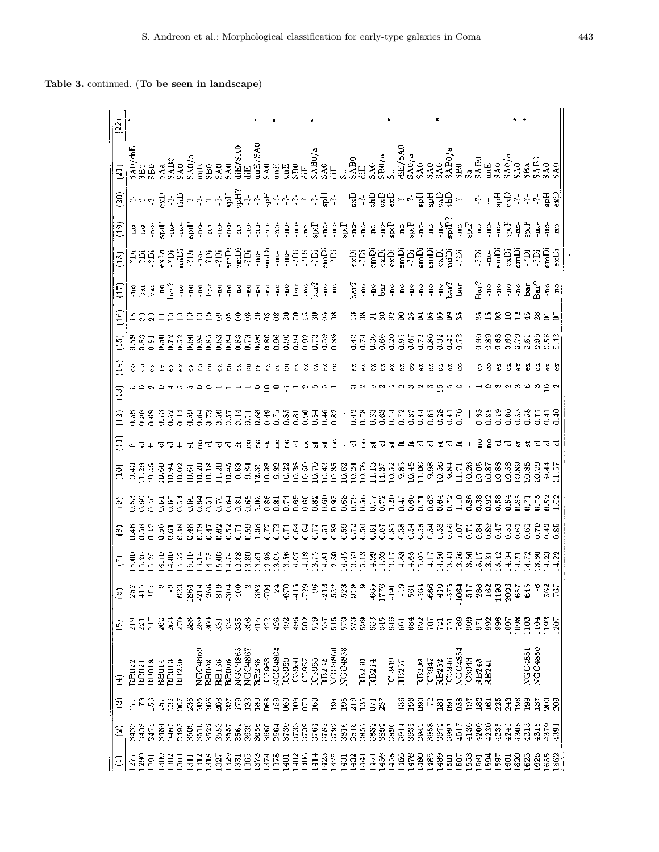| (22)                   |       |               |                |                                                                                                                                                                                                                                                                                                                                                                                                                                                                    |               |               |               |                  |        |                 |              |                |             |                        |               |                 |                |                |               |                 |        |                |                  |               |                                             |               |       |               |                    |               |                        |                |                 |        |              |               |                    |                |          |                     |      |               |                                                                                                                                                                                                                                                                                                                                                                                                       |                 |      |
|------------------------|-------|---------------|----------------|--------------------------------------------------------------------------------------------------------------------------------------------------------------------------------------------------------------------------------------------------------------------------------------------------------------------------------------------------------------------------------------------------------------------------------------------------------------------|---------------|---------------|---------------|------------------|--------|-----------------|--------------|----------------|-------------|------------------------|---------------|-----------------|----------------|----------------|---------------|-----------------|--------|----------------|------------------|---------------|---------------------------------------------|---------------|-------|---------------|--------------------|---------------|------------------------|----------------|-----------------|--------|--------------|---------------|--------------------|----------------|----------|---------------------|------|---------------|-------------------------------------------------------------------------------------------------------------------------------------------------------------------------------------------------------------------------------------------------------------------------------------------------------------------------------------------------------------------------------------------------------|-----------------|------|
| $\tilde{z}$            |       |               |                | $\begin{array}{ccccccccccccc} \mathcal{A} & \mathcal{A} & \mathcal{A} & \mathcal{A} & \mathcal{A} & \mathcal{A} & \mathcal{A} & \mathcal{A} & \mathcal{A} & \mathcal{A} & \mathcal{A} & \mathcal{A} & \mathcal{A} & \mathcal{A} & \mathcal{A} & \mathcal{A} & \mathcal{A} & \mathcal{A} & \mathcal{A} & \mathcal{A} & \mathcal{A} & \mathcal{A} & \mathcal{A} & \mathcal{A} & \mathcal{A} & \mathcal{A} & \mathcal{A} & \mathcal{A} & \mathcal{A} & \mathcal{A} &$ |               |               |               |                  |        |                 |              |                |             |                        |               |                 |                |                |               |                 |        |                |                  |               |                                             |               |       |               |                    |               |                        |                |                 |        |              |               |                    |                |          | दे छेड़े<br>बेहे दे |      |               | <b>Ba</b><br>14 B0                                                                                                                                                                                                                                                                                                                                                                                    |                 |      |
| $\widehat{S}$          |       |               |                | 하하다 명령물하다다 이 및 물리다 품립하다가 다 좋다. L 명차 물 명명 하다 품 품 융 물 수                                                                                                                                                                                                                                                                                                                                                                                                              |               |               |               |                  |        |                 |              |                |             |                        |               |                 |                |                |               |                 |        |                |                  |               |                                             |               |       |               |                    |               |                        |                |                 |        |              |               | $\parallel$ $\sim$ | $\mathfrak{f}$ |          |                     |      |               | 퓛뒿하하라풀뎣                                                                                                                                                                                                                                                                                                                                                                                               |                 |      |
| $\left(19\right)$      |       |               |                |                                                                                                                                                                                                                                                                                                                                                                                                                                                                    |               |               |               |                  |        | $rac{6}{5}$     | ģ.           | å.             |             | 휴휴                     | -ne-          |                 |                |                |               |                 |        |                |                  |               |                                             |               |       |               |                    |               |                        |                |                 |        |              |               |                    |                | -no-     | ्री<br>नि           |      |               | ខុំដ្ឋិ ខ្ញុំ                                                                                                                                                                                                                                                                                                                                                                                         | $\frac{6}{11}$  |      |
| (18)                   |       |               |                | ត្តគ្នាត្តធ្វើឲ្យ ៖ត្តធ្វើផ្អិត ៖ ធ្នី ៖ ៖ត្តធ្នាត្តធ្វីត្ត , ធ្លីត្តធ្វីធ្វើឡើងឆ្នាំធ្វីធ្នើឡើង                                                                                                                                                                                                                                                                                                                                                                   |               |               |               |                  |        |                 |              |                |             |                        |               |                 |                |                |               |                 |        |                |                  |               |                                             |               |       |               |                    |               |                        |                |                 |        |              |               |                    |                |          |                     |      |               | <b>គ្រូ នុ</b> ម្ពិធ្វិជ្ជិត្តិគ្ន                                                                                                                                                                                                                                                                                                                                                                    | ម្ពិដ្ឋ         |      |
| Ē                      |       |               |                |                                                                                                                                                                                                                                                                                                                                                                                                                                                                    |               |               |               |                  |        | ę.              | ξ.           | $rac{2}{3}$    | $rac{1}{2}$ | န္                     | $\frac{c}{r}$ | $\frac{8}{7}$   |                |                |               |                 |        |                |                  | $\frac{1}{2}$ |                                             |               | e e a |               |                    |               |                        |                |                 |        |              |               |                    |                |          |                     |      |               | $\begin{array}{cccccccccc} \hat{z}_1 & \hat{z}_2 & \hat{z}_3 & \hat{z}_4 & \hat{z}_5 & \hat{z}_6 & \hat{z}_7 & \hat{z}_8 & \hat{z}_7 & \hat{z}_8 & \hat{z}_7 & \hat{z}_8 & \hat{z}_9 & \hat{z}_9 & \hat{z}_9 & \hat{z}_9 & \hat{z}_9 & \hat{z}_9 & \hat{z}_9 & \hat{z}_9 & \hat{z}_9 & \hat{z}_9 & \hat{z}_9 & \hat{z}_9 & \hat{z}_9 & \hat{z}_9 & \hat{z}_9 & \hat{z}_9 & \hat{z}_9 & \hat{z}_9 & \$ | $rac{10}{110}$  |      |
| (16)                   |       |               |                |                                                                                                                                                                                                                                                                                                                                                                                                                                                                    |               |               |               |                  |        |                 |              |                |             |                        |               |                 |                |                |               |                 |        |                |                  |               |                                             |               |       |               |                    |               |                        |                |                 |        |              |               |                    |                |          |                     |      |               |                                                                                                                                                                                                                                                                                                                                                                                                       |                 |      |
| $\Xi$                  |       |               |                |                                                                                                                                                                                                                                                                                                                                                                                                                                                                    |               |               |               |                  |        |                 |              |                |             |                        |               |                 |                |                |               |                 |        | 38233<br>00000 |                  |               | ទុក្ខខ្លួននុងក្នុ<br>ទុក្ខខ្លួននុង          |               |       |               |                    |               |                        |                | 83356<br>2255   |        |              |               |                    |                |          | 18888<br>1888       |      |               | egase<br>Societ                                                                                                                                                                                                                                                                                                                                                                                       |                 |      |
| $\frac{4}{1}$          |       |               |                |                                                                                                                                                                                                                                                                                                                                                                                                                                                                    |               |               |               |                  |        |                 |              |                |             |                        |               |                 |                |                |               |                 |        |                |                  |               |                                             |               |       |               |                    |               |                        |                |                 |        |              |               |                    |                |          |                     |      |               |                                                                                                                                                                                                                                                                                                                                                                                                       |                 |      |
| $\frac{3}{2}$          |       |               |                |                                                                                                                                                                                                                                                                                                                                                                                                                                                                    |               |               |               |                  |        |                 |              |                |             |                        |               |                 |                |                |               |                 |        |                |                  |               |                                             |               |       |               |                    |               |                        |                |                 |        |              |               |                    |                |          |                     |      |               |                                                                                                                                                                                                                                                                                                                                                                                                       |                 |      |
| $\left(12\right)$      |       |               |                | 338653<br>00000                                                                                                                                                                                                                                                                                                                                                                                                                                                    |               | Ã             | $\frac{5}{2}$ |                  |        |                 |              |                |             |                        |               |                 |                |                |               | $\frac{\pi}{2}$ | ्रे    | <b>3.82</b>    |                  |               | ឡុត្ត<br>ភូមិ                               | g             | 1.63  |               | អ្នក<br>ក្នុងក្នុង |               |                        | $\frac{15}{2}$ | 5.28            | 콧      | š            |               | 1.85               | 3.83           | $^{149}$ | 3.60                |      |               | 335<br>225                                                                                                                                                                                                                                                                                                                                                                                            | 도쿄              |      |
| Ξ                      |       |               |                |                                                                                                                                                                                                                                                                                                                                                                                                                                                                    |               |               |               |                  |        |                 |              |                |             |                        |               |                 |                |                | 음             |                 |        |                |                  |               |                                             |               |       |               |                    |               |                        |                |                 |        |              |               |                    |                |          |                     |      |               |                                                                                                                                                                                                                                                                                                                                                                                                       |                 |      |
| ίg)                    |       |               |                |                                                                                                                                                                                                                                                                                                                                                                                                                                                                    |               |               |               |                  |        |                 |              |                |             |                        |               |                 |                |                |               |                 |        |                |                  |               |                                             |               |       |               |                    |               |                        |                |                 |        |              |               |                    |                |          |                     |      |               |                                                                                                                                                                                                                                                                                                                                                                                                       |                 |      |
| ම                      |       |               |                |                                                                                                                                                                                                                                                                                                                                                                                                                                                                    |               |               |               |                  |        |                 |              |                |             |                        |               |                 |                |                |               |                 |        |                |                  |               |                                             |               |       |               |                    |               |                        |                |                 |        |              |               |                    |                |          |                     |      |               |                                                                                                                                                                                                                                                                                                                                                                                                       |                 |      |
| ©                      |       |               |                | 939859<br>000000                                                                                                                                                                                                                                                                                                                                                                                                                                                   |               |               |               |                  |        | 385335<br>38538 |              |                |             | 335253355<br>335355555 |               |                 |                |                |               |                 |        |                | 88<br>0.59       |               | 0.50<br>0.50                                |               |       |               |                    |               | 553856336<br>555555555 |                |                 |        | 5738<br>1000 |               |                    |                |          |                     |      |               | អូគូនន្ទអូ<br>ទំនិននិន                                                                                                                                                                                                                                                                                                                                                                                | $\frac{42}{10}$ |      |
| Θ                      |       |               |                |                                                                                                                                                                                                                                                                                                                                                                                                                                                                    |               |               |               |                  |        |                 |              |                |             |                        |               |                 |                |                |               |                 |        |                | $\frac{15}{2}$   |               | 6288518865169861559<br>Ceimeradus Calendari |               |       |               |                    |               |                        |                |                 |        |              |               |                    |                |          |                     |      |               | जनसङ्ख्या<br>नन्न पुनुन्                                                                                                                                                                                                                                                                                                                                                                              |                 |      |
| $\widehat{\mathbf{e}}$ | 252   | $\frac{1}{4}$ | $\overline{1}$ |                                                                                                                                                                                                                                                                                                                                                                                                                                                                    | Ÿ             | $-83$         | 1861          | $\frac{1}{2}$    | $-266$ | $\frac{819}{2}$ | Š            | $\frac{5}{2}$  |             | 382                    | ੇ             | 질               | $-6\pi$        | $rac{1}{4}$    |               | $\frac{8}{1}$   | $-213$ | 552            | 523              | $\frac{5}{2}$ | ٣                                           | $-665$        | 1776  | $\frac{5}{7}$ | ă                  | 561           | $-56$                  | $-666$         | $\frac{10}{75}$ |        | $-1064$      | 5F            | $\frac{288}{162}$  |                | 119      | 20OC                | 657  | $\frac{5}{3}$ | ۳                                                                                                                                                                                                                                                                                                                                                                                                     | $\frac{2}{3}$   |      |
| $\bar{c}$              |       |               | 某              | ସୁ                                                                                                                                                                                                                                                                                                                                                                                                                                                                 | g             | g             | Ş             | 28               | g      | $\bar{z}$       | ट्र          | 33             | 398         | $rac{1}{4}$            | 422           | $^{426}$        | $rac{32}{192}$ | Ş,             | $\frac{2}{3}$ | 519             | 537    | 545            | STO <sup>1</sup> |               | ្លួន                                        | 633           | 645   | 646           | 661                | $\frac{3}{2}$ | 692                    | ξĒ,            | 흕               | 론      | 769          | 3             | $\overline{5}$     | $\frac{6}{2}$  | 88       | $\frac{5}{2}$       | 1098 | $\frac{2}{3}$ | $\vec{e}$                                                                                                                                                                                                                                                                                                                                                                                             | 1193            | 1207 |
| Ξ                      | RB022 | RB021         | <b>RB018</b>   | RB014                                                                                                                                                                                                                                                                                                                                                                                                                                                              | RB013         | RB230         |               | NGC4869<br>RB008 |        | RB136           | <b>RB006</b> | <b>NGC4865</b> | NGC4867     | RB268                  | IC3963        | <b>NGC-3864</b> | IC3959         | IC3960         | IC3957        | <b>C3955</b>    | RB262  | <b>NGC4860</b> | <b>CGC4858</b>   |               | RB260                                       | RB214         |       | <b>GF6S21</b> | RB257              |               | RB209                  | IC3947         | RB252           | IC3946 | VCC4854      | IC3943        | RB243<br>RB241     |                |          |                     |      | NGC4851       | NGC4850                                                                                                                                                                                                                                                                                                                                                                                               |                 |      |
| ි                      |       |               | $\frac{8}{2}$  | Š                                                                                                                                                                                                                                                                                                                                                                                                                                                                  | $\frac{2}{3}$ | is<br>06      | 236           | $\frac{5}{2}$    | 106    | 208             | ģ            | $\mathbb{E}$   | 133         | 180                    | 88            | 159             | 8              | $\frac{8}{2}$  | 0.0           | $\frac{8}{160}$ |        | 흑              | 195              | 218           | $13\overline{5}$                            | $\bar{\rm c}$ | 237   |               | 136                | 196           | 80                     |                | 81              | ā      | 058          | $\frac{5}{2}$ | 182                | 161            | 225      | 243                 | 198  | 199           | 137                                                                                                                                                                                                                                                                                                                                                                                                   | 200             | 209  |
| මූ                     | 3433  | 3439          | 3471           | 3484                                                                                                                                                                                                                                                                                                                                                                                                                                                               | 3487          | 3493          | 3509          | 3510             | 3522   | 3553            | 3557         | 3561           | 3639        | 3656                   | 3660          | 3664            | 3730           | 3733           | 3739          | 3761            |        | 3782<br>3792   | 3816             | 3818          | 3851                                        | 3882          | 3892  | 3896          | 3914               | 3935          | 3943                   | 3958           | $\frac{2}{3}$   | 3997   | $-104$       | 4130          | 4200               | 4230           | 4235     | 4242                | 4308 | 4313          | 4315                                                                                                                                                                                                                                                                                                                                                                                                  | 4379            | 4391 |
| Ξ                      | 277   | 1280          | [29]           | $\frac{50}{2}$                                                                                                                                                                                                                                                                                                                                                                                                                                                     | $\frac{8}{2}$ | $\frac{3}{2}$ | $\frac{1}{2}$ | 1312             | 1318   | 1327            | 1329         | 331            | 1365        | 1373                   | 1374          | 1378            | $\frac{1}{4}$  | $\frac{20}{2}$ | $\frac{8}{2}$ | $\frac{4}{3}$   | 1423   | 1425           | 1431             | 1432          | $\frac{3}{44}$                              | $rac{1}{2}$   | 1456  | 1458          | 1466               | 1476          | 380                    | 185            | 1489            | 501    | 1507         | 1553          | 1581               | 1594           | 1597     | $\overline{5}$      | 1620 | 1623          | 1625                                                                                                                                                                                                                                                                                                                                                                                                  | 1655<br>1662    |      |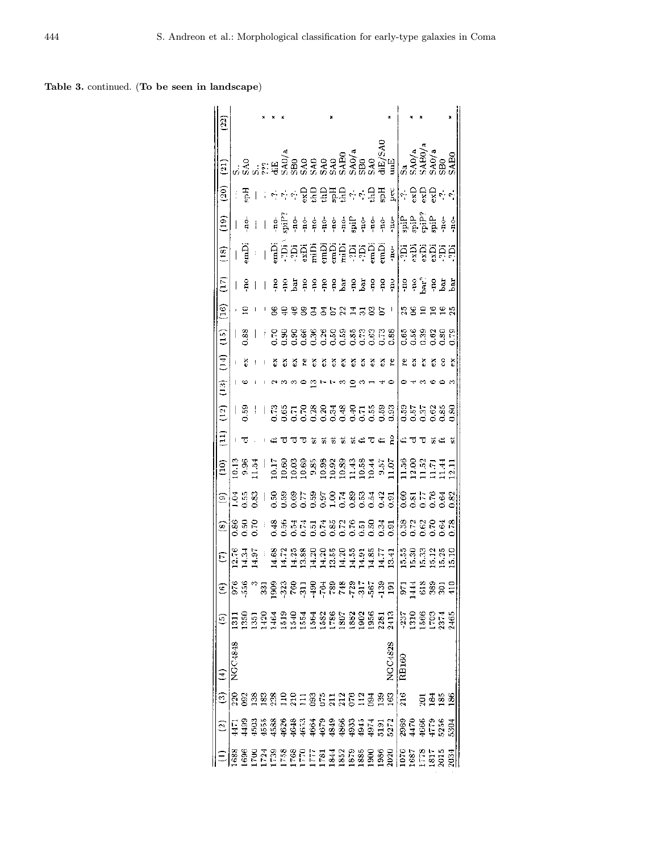Table 3. continued. (To be seen in landscape)

| $\widehat{c}$<br>83882213512613<br>220<br>L 2 3 3 2 3 8 9 3 3 3 4 5 4 6 6 6 7 5 7 7<br>T 3 3 3 3 9 9 9 9 9 9 9 9 9 9 9 9 0 1<br>T 3 4 9 9 9 9 9 9 9 9 9 9 9 9 0 1<br>$\tilde{z}$<br>1688 | 8787UDN<br>$\exists$ | ම                  | E               | Ε                                                          | ව               | ම                                                                                                               |                                  | $\Xi$ |                                                          |                |    |                                 |        | $\overline{1}$ | $\left( \frac{8}{2} \right)$                                             | $\widehat{\Xi}$                                                                                                                                                                                                                                                                                                     | (20)                         | $\left( 21\right)$                             |           |
|------------------------------------------------------------------------------------------------------------------------------------------------------------------------------------------|----------------------|--------------------|-----------------|------------------------------------------------------------|-----------------|-----------------------------------------------------------------------------------------------------------------|----------------------------------|-------|----------------------------------------------------------|----------------|----|---------------------------------|--------|----------------|--------------------------------------------------------------------------|---------------------------------------------------------------------------------------------------------------------------------------------------------------------------------------------------------------------------------------------------------------------------------------------------------------------|------------------------------|------------------------------------------------|-----------|
|                                                                                                                                                                                          |                      |                    |                 |                                                            |                 |                                                                                                                 | $\frac{1}{2}$                    |       | (12)                                                     | $\frac{3}{13}$ | E  | (15)                            | (16)   |                |                                                                          |                                                                                                                                                                                                                                                                                                                     |                              |                                                | $^{(22)}$ |
|                                                                                                                                                                                          |                      | $\overline{5}$     | 5               |                                                            |                 | ě                                                                                                               |                                  |       |                                                          |                |    |                                 |        |                |                                                                          |                                                                                                                                                                                                                                                                                                                     |                              |                                                |           |
|                                                                                                                                                                                          |                      |                    | 溽               | ្ដូង<br>ឯក                                                 |                 |                                                                                                                 |                                  |       | $\frac{18}{2}$                                           |                | ő  | .88                             |        | g              | Ê                                                                        | ģ                                                                                                                                                                                                                                                                                                                   | ्टू                          |                                                |           |
|                                                                                                                                                                                          |                      |                    |                 | $\frac{5}{4}$                                              | 88R<br>22R      | $\frac{55}{1.83}$                                                                                               | 283<br>084                       |       |                                                          |                |    |                                 |        | $\mathbf{I}$   |                                                                          |                                                                                                                                                                                                                                                                                                                     |                              |                                                |           |
|                                                                                                                                                                                          |                      |                    |                 |                                                            |                 | I                                                                                                               |                                  |       |                                                          |                |    | ţ                               |        |                |                                                                          |                                                                                                                                                                                                                                                                                                                     |                              |                                                |           |
|                                                                                                                                                                                          |                      |                    |                 |                                                            |                 |                                                                                                                 |                                  |       |                                                          |                |    |                                 |        | ≗              |                                                                          |                                                                                                                                                                                                                                                                                                                     |                              |                                                |           |
|                                                                                                                                                                                          |                      |                    |                 |                                                            |                 |                                                                                                                 |                                  |       |                                                          |                | ã  |                                 |        |                |                                                                          |                                                                                                                                                                                                                                                                                                                     |                              |                                                |           |
|                                                                                                                                                                                          |                      |                    | 888865788886585 | ecresse.<br>Francisco de Servicio<br>Francisco de Servicio | 888335538665835 | e e e he he e de e e e e e<br>Generale e de decide                                                              | 13888888998355<br>19888889998355 |       |                                                          |                |    | rassa a a a a ann an a          |        |                | គ្គិតគូគ្នូគ្និដ្ឋិគ្គិតគូគ្និដ្ឋិ ៖<br>ត្រូវក្នុគ្នាដ្ឋិគ្គិតគូគ្និដ្ឋិ | $\frac{1}{7}$ $\frac{1}{7}$ $\frac{1}{7}$ $\frac{1}{7}$ $\frac{1}{7}$ $\frac{1}{7}$ $\frac{1}{7}$                                                                                                                                                                                                                   |                              |                                                |           |
|                                                                                                                                                                                          |                      |                    |                 |                                                            |                 |                                                                                                                 |                                  |       |                                                          |                |    |                                 |        |                |                                                                          |                                                                                                                                                                                                                                                                                                                     |                              |                                                |           |
|                                                                                                                                                                                          |                      |                    |                 |                                                            |                 |                                                                                                                 |                                  |       |                                                          |                |    |                                 |        |                |                                                                          |                                                                                                                                                                                                                                                                                                                     |                              |                                                |           |
|                                                                                                                                                                                          |                      |                    |                 |                                                            |                 |                                                                                                                 |                                  |       |                                                          |                |    |                                 |        |                |                                                                          |                                                                                                                                                                                                                                                                                                                     |                              |                                                |           |
|                                                                                                                                                                                          |                      |                    |                 |                                                            |                 |                                                                                                                 |                                  |       |                                                          |                |    |                                 |        |                |                                                                          |                                                                                                                                                                                                                                                                                                                     |                              |                                                |           |
|                                                                                                                                                                                          |                      |                    |                 |                                                            |                 |                                                                                                                 |                                  |       |                                                          |                |    |                                 |        | 모<br>5         |                                                                          |                                                                                                                                                                                                                                                                                                                     |                              |                                                |           |
|                                                                                                                                                                                          |                      |                    |                 |                                                            |                 |                                                                                                                 |                                  |       |                                                          |                |    |                                 |        |                |                                                                          |                                                                                                                                                                                                                                                                                                                     |                              |                                                |           |
|                                                                                                                                                                                          |                      |                    |                 |                                                            |                 |                                                                                                                 |                                  |       |                                                          |                |    |                                 |        | چ و<br>م       |                                                                          |                                                                                                                                                                                                                                                                                                                     |                              |                                                |           |
|                                                                                                                                                                                          |                      |                    |                 |                                                            |                 |                                                                                                                 |                                  |       |                                                          |                | s  |                                 | 588    | Pd.            |                                                                          |                                                                                                                                                                                                                                                                                                                     |                              |                                                |           |
| $\frac{39}{2}$                                                                                                                                                                           |                      |                    |                 |                                                            |                 |                                                                                                                 |                                  |       |                                                          |                | ő  |                                 |        | Pd-            |                                                                          |                                                                                                                                                                                                                                                                                                                     |                              |                                                |           |
| 163                                                                                                                                                                                      | NGC4828              |                    |                 |                                                            |                 |                                                                                                                 |                                  | å     |                                                          |                | ิะ |                                 |        | $\frac{5}{5}$  |                                                                          |                                                                                                                                                                                                                                                                                                                     |                              |                                                |           |
| 216<br>2989<br>4470                                                                                                                                                                      | RB160                |                    |                 | 538318<br>  538318<br>  5595                               | 138283<br>13828 | $\frac{8}{6}$ $\frac{2}{3}$ $\frac{1}{6}$ $\frac{8}{3}$ $\frac{1}{6}$ $\frac{8}{3}$ $\frac{8}{3}$ $\frac{8}{3}$ | ises<br>Esist                    |       | 은행도 은행용품을 운동품을 위협하는 것 없으<br>  은행도 은행용품을 이용품을 위협하는 것 같습니다 |                | ٣  |                                 |        |                | leşggee                                                                  | $\frac{1}{7}$ $\frac{1}{7}$ $\frac{1}{7}$ $\frac{1}{7}$ $\frac{1}{7}$ $\frac{1}{7}$ $\frac{1}{7}$ $\frac{1}{7}$ $\frac{1}{7}$ $\frac{1}{7}$ $\frac{1}{7}$ $\frac{1}{7}$ $\frac{1}{7}$ $\frac{1}{7}$ $\frac{1}{7}$ $\frac{1}{7}$ $\frac{1}{7}$ $\frac{1}{7}$ $\frac{1}{7}$ $\frac{1}{7}$ $\frac{1}{7}$ $\frac{1}{7}$ | ゃ수 X을 물품물 수수물품 XI는 X XXX X 수 |                                                |           |
|                                                                                                                                                                                          |                      |                    |                 |                                                            |                 |                                                                                                                 |                                  |       |                                                          |                | A  |                                 |        |                |                                                                          |                                                                                                                                                                                                                                                                                                                     |                              |                                                |           |
| 986<br>417<br>525                                                                                                                                                                        |                      | $\frac{337}{1500}$ | 21588           |                                                            |                 |                                                                                                                 |                                  |       |                                                          |                | ñ  | នន្ទីន្ទីនិន្ទី<br>ក្នុងក្នុងពិ | 582225 | <b>BEER</b>    |                                                                          |                                                                                                                                                                                                                                                                                                                     |                              | 3a<br>5A0/a<br>5A80/a<br>5A0/a<br>5AB0<br>5AB0 |           |
| ಕ್ಷ ತ್ತೆ ಜಿ                                                                                                                                                                              |                      |                    |                 |                                                            |                 |                                                                                                                 |                                  |       |                                                          |                | ő  |                                 |        |                |                                                                          |                                                                                                                                                                                                                                                                                                                     |                              |                                                |           |
|                                                                                                                                                                                          |                      |                    |                 |                                                            |                 |                                                                                                                 |                                  |       |                                                          |                | ۹  |                                 |        |                |                                                                          |                                                                                                                                                                                                                                                                                                                     |                              |                                                |           |
| 86<br>5304<br>S<br>ğl                                                                                                                                                                    |                      | 2465               |                 |                                                            | $\frac{8}{2}$   |                                                                                                                 |                                  | ū     |                                                          |                | ă  |                                 |        |                |                                                                          |                                                                                                                                                                                                                                                                                                                     |                              |                                                |           |